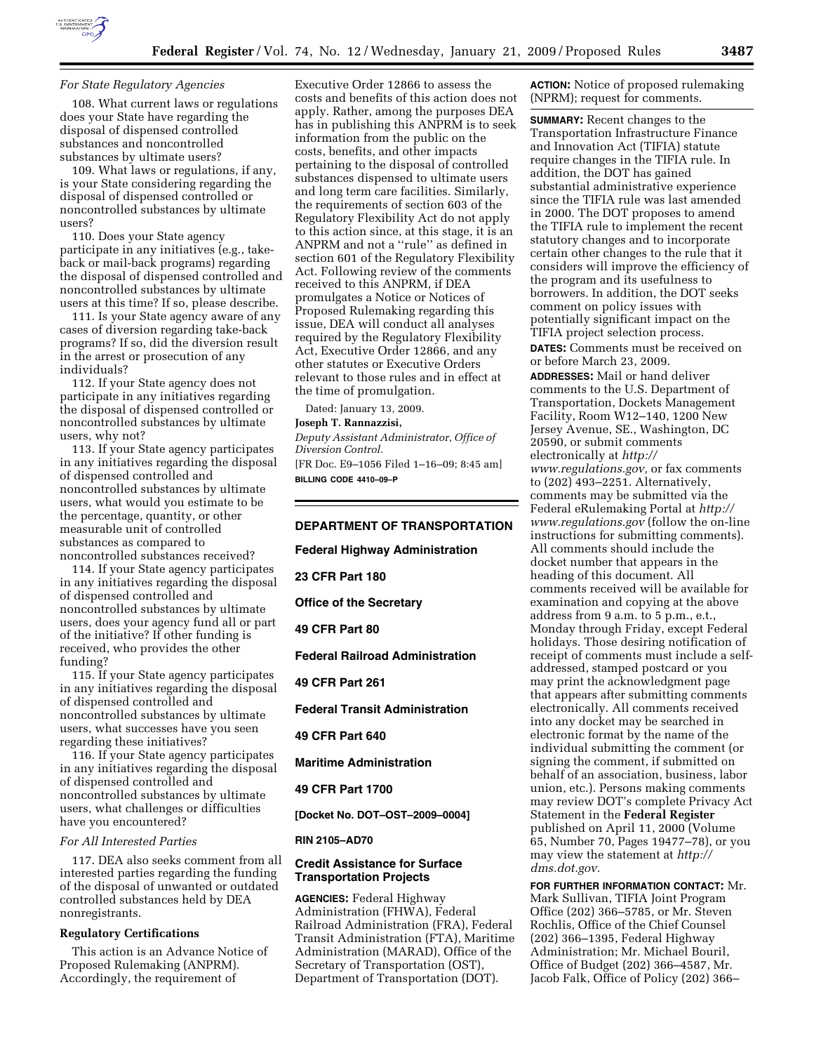

#### *For State Regulatory Agencies*

108. What current laws or regulations does your State have regarding the disposal of dispensed controlled substances and noncontrolled substances by ultimate users?

109. What laws or regulations, if any, is your State considering regarding the disposal of dispensed controlled or noncontrolled substances by ultimate users?

110. Does your State agency participate in any initiatives (e.g., takeback or mail-back programs) regarding the disposal of dispensed controlled and noncontrolled substances by ultimate users at this time? If so, please describe.

111. Is your State agency aware of any cases of diversion regarding take-back programs? If so, did the diversion result in the arrest or prosecution of any individuals?

112. If your State agency does not participate in any initiatives regarding the disposal of dispensed controlled or noncontrolled substances by ultimate users, why not?

113. If your State agency participates in any initiatives regarding the disposal of dispensed controlled and noncontrolled substances by ultimate users, what would you estimate to be the percentage, quantity, or other measurable unit of controlled substances as compared to noncontrolled substances received?

114. If your State agency participates in any initiatives regarding the disposal of dispensed controlled and noncontrolled substances by ultimate users, does your agency fund all or part of the initiative? If other funding is received, who provides the other funding?

115. If your State agency participates in any initiatives regarding the disposal of dispensed controlled and noncontrolled substances by ultimate users, what successes have you seen regarding these initiatives?

116. If your State agency participates in any initiatives regarding the disposal of dispensed controlled and noncontrolled substances by ultimate users, what challenges or difficulties have you encountered?

#### *For All Interested Parties*

117. DEA also seeks comment from all interested parties regarding the funding of the disposal of unwanted or outdated controlled substances held by DEA nonregistrants.

## **Regulatory Certifications**

This action is an Advance Notice of Proposed Rulemaking (ANPRM). Accordingly, the requirement of

Executive Order 12866 to assess the costs and benefits of this action does not apply. Rather, among the purposes DEA has in publishing this ANPRM is to seek information from the public on the costs, benefits, and other impacts pertaining to the disposal of controlled substances dispensed to ultimate users and long term care facilities. Similarly, the requirements of section 603 of the Regulatory Flexibility Act do not apply to this action since, at this stage, it is an ANPRM and not a ''rule'' as defined in section 601 of the Regulatory Flexibility Act. Following review of the comments received to this ANPRM, if DEA promulgates a Notice or Notices of Proposed Rulemaking regarding this issue, DEA will conduct all analyses required by the Regulatory Flexibility Act, Executive Order 12866, and any other statutes or Executive Orders relevant to those rules and in effect at the time of promulgation.

Dated: January 13, 2009.

#### **Joseph T. Rannazzisi,**

*Deputy Assistant Administrator, Office of Diversion Control.*  [FR Doc. E9–1056 Filed 1–16–09; 8:45 am]

**BILLING CODE 4410–09–P** 

## **DEPARTMENT OF TRANSPORTATION**

**Federal Highway Administration** 

**23 CFR Part 180** 

**Office of the Secretary** 

**49 CFR Part 80** 

**Federal Railroad Administration** 

**49 CFR Part 261** 

**Federal Transit Administration** 

**49 CFR Part 640** 

**Maritime Administration** 

#### **49 CFR Part 1700**

**[Docket No. DOT–OST–2009–0004]** 

#### **RIN 2105–AD70**

## **Credit Assistance for Surface Transportation Projects**

**AGENCIES:** Federal Highway Administration (FHWA), Federal Railroad Administration (FRA), Federal Transit Administration (FTA), Maritime Administration (MARAD), Office of the Secretary of Transportation (OST), Department of Transportation (DOT).

**ACTION:** Notice of proposed rulemaking (NPRM); request for comments.

**SUMMARY:** Recent changes to the Transportation Infrastructure Finance and Innovation Act (TIFIA) statute require changes in the TIFIA rule. In addition, the DOT has gained substantial administrative experience since the TIFIA rule was last amended in 2000. The DOT proposes to amend the TIFIA rule to implement the recent statutory changes and to incorporate certain other changes to the rule that it considers will improve the efficiency of the program and its usefulness to borrowers. In addition, the DOT seeks comment on policy issues with potentially significant impact on the TIFIA project selection process. **DATES:** Comments must be received on or before March 23, 2009. **ADDRESSES:** Mail or hand deliver comments to the U.S. Department of Transportation, Dockets Management Facility, Room W12–140, 1200 New Jersey Avenue, SE., Washington, DC 20590, or submit comments electronically at *http:// www.regulations.gov,* or fax comments to (202) 493–2251. Alternatively, comments may be submitted via the Federal eRulemaking Portal at *http:// www.regulations.gov* (follow the on-line instructions for submitting comments). All comments should include the docket number that appears in the heading of this document. All comments received will be available for examination and copying at the above address from 9 a.m. to 5 p.m., e.t., Monday through Friday, except Federal holidays. Those desiring notification of receipt of comments must include a selfaddressed, stamped postcard or you may print the acknowledgment page that appears after submitting comments electronically. All comments received into any docket may be searched in electronic format by the name of the individual submitting the comment (or signing the comment, if submitted on behalf of an association, business, labor union, etc.). Persons making comments may review DOT's complete Privacy Act Statement in the **Federal Register**  published on April 11, 2000 (Volume 65, Number 70, Pages 19477–78), or you may view the statement at *http:// dms.dot.gov.* 

**FOR FURTHER INFORMATION CONTACT:** Mr. Mark Sullivan, TIFIA Joint Program Office (202) 366–5785, or Mr. Steven Rochlis, Office of the Chief Counsel (202) 366–1395, Federal Highway Administration; Mr. Michael Bouril, Office of Budget (202) 366–4587, Mr. Jacob Falk, Office of Policy (202) 366–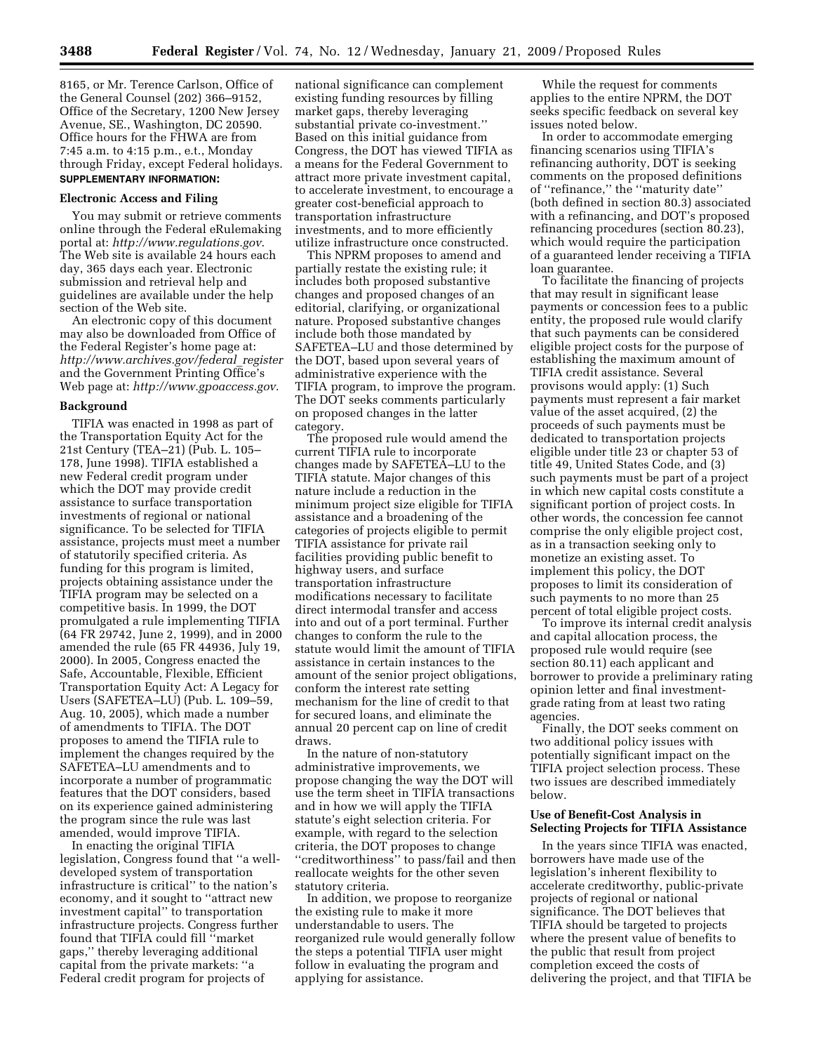8165, or Mr. Terence Carlson, Office of the General Counsel (202) 366–9152, Office of the Secretary, 1200 New Jersey Avenue, SE., Washington, DC 20590. Office hours for the FHWA are from 7:45 a.m. to 4:15 p.m., e.t., Monday through Friday, except Federal holidays. **SUPPLEMENTARY INFORMATION:** 

#### **Electronic Access and Filing**

You may submit or retrieve comments online through the Federal eRulemaking portal at: *http://www.regulations.gov*. The Web site is available 24 hours each day, 365 days each year. Electronic submission and retrieval help and guidelines are available under the help section of the Web site.

An electronic copy of this document may also be downloaded from Office of the Federal Register's home page at: *http://www.archives.gov/federal*\_*register*  and the Government Printing Office's Web page at: *http://www.gpoaccess.gov*.

#### **Background**

TIFIA was enacted in 1998 as part of the Transportation Equity Act for the 21st Century (TEA–21) (Pub. L. 105– 178, June 1998). TIFIA established a new Federal credit program under which the DOT may provide credit assistance to surface transportation investments of regional or national significance. To be selected for TIFIA assistance, projects must meet a number of statutorily specified criteria. As funding for this program is limited, projects obtaining assistance under the TIFIA program may be selected on a competitive basis. In 1999, the DOT promulgated a rule implementing TIFIA (64 FR 29742, June 2, 1999), and in 2000 amended the rule (65 FR 44936, July 19, 2000). In 2005, Congress enacted the Safe, Accountable, Flexible, Efficient Transportation Equity Act: A Legacy for Users (SAFETEA–LU) (Pub. L. 109–59, Aug. 10, 2005), which made a number of amendments to TIFIA. The DOT proposes to amend the TIFIA rule to implement the changes required by the SAFETEA–LU amendments and to incorporate a number of programmatic features that the DOT considers, based on its experience gained administering the program since the rule was last amended, would improve TIFIA.

In enacting the original TIFIA legislation, Congress found that ''a welldeveloped system of transportation infrastructure is critical'' to the nation's economy, and it sought to ''attract new investment capital'' to transportation infrastructure projects. Congress further found that TIFIA could fill ''market gaps,'' thereby leveraging additional capital from the private markets: ''a Federal credit program for projects of

national significance can complement existing funding resources by filling market gaps, thereby leveraging substantial private co-investment.'' Based on this initial guidance from Congress, the DOT has viewed TIFIA as a means for the Federal Government to attract more private investment capital, to accelerate investment, to encourage a greater cost-beneficial approach to transportation infrastructure investments, and to more efficiently utilize infrastructure once constructed.

This NPRM proposes to amend and partially restate the existing rule; it includes both proposed substantive changes and proposed changes of an editorial, clarifying, or organizational nature. Proposed substantive changes include both those mandated by SAFETEA–LU and those determined by the DOT, based upon several years of administrative experience with the TIFIA program, to improve the program. The DOT seeks comments particularly on proposed changes in the latter category.

The proposed rule would amend the current TIFIA rule to incorporate changes made by SAFETEA–LU to the TIFIA statute. Major changes of this nature include a reduction in the minimum project size eligible for TIFIA assistance and a broadening of the categories of projects eligible to permit TIFIA assistance for private rail facilities providing public benefit to highway users, and surface transportation infrastructure modifications necessary to facilitate direct intermodal transfer and access into and out of a port terminal. Further changes to conform the rule to the statute would limit the amount of TIFIA assistance in certain instances to the amount of the senior project obligations, conform the interest rate setting mechanism for the line of credit to that for secured loans, and eliminate the annual 20 percent cap on line of credit draws.

In the nature of non-statutory administrative improvements, we propose changing the way the DOT will use the term sheet in TIFIA transactions and in how we will apply the TIFIA statute's eight selection criteria. For example, with regard to the selection criteria, the DOT proposes to change ''creditworthiness'' to pass/fail and then reallocate weights for the other seven statutory criteria.

In addition, we propose to reorganize the existing rule to make it more understandable to users. The reorganized rule would generally follow the steps a potential TIFIA user might follow in evaluating the program and applying for assistance.

While the request for comments applies to the entire NPRM, the DOT seeks specific feedback on several key issues noted below.

In order to accommodate emerging financing scenarios using TIFIA's refinancing authority, DOT is seeking comments on the proposed definitions of ''refinance,'' the ''maturity date'' (both defined in section 80.3) associated with a refinancing, and DOT's proposed refinancing procedures (section 80.23), which would require the participation of a guaranteed lender receiving a TIFIA loan guarantee.

To facilitate the financing of projects that may result in significant lease payments or concession fees to a public entity, the proposed rule would clarify that such payments can be considered eligible project costs for the purpose of establishing the maximum amount of TIFIA credit assistance. Several provisons would apply: (1) Such payments must represent a fair market value of the asset acquired, (2) the proceeds of such payments must be dedicated to transportation projects eligible under title 23 or chapter 53 of title 49, United States Code, and (3) such payments must be part of a project in which new capital costs constitute a significant portion of project costs. In other words, the concession fee cannot comprise the only eligible project cost, as in a transaction seeking only to monetize an existing asset. To implement this policy, the DOT proposes to limit its consideration of such payments to no more than 25 percent of total eligible project costs.

To improve its internal credit analysis and capital allocation process, the proposed rule would require (see section 80.11) each applicant and borrower to provide a preliminary rating opinion letter and final investmentgrade rating from at least two rating agencies.

Finally, the DOT seeks comment on two additional policy issues with potentially significant impact on the TIFIA project selection process. These two issues are described immediately below.

#### **Use of Benefit-Cost Analysis in Selecting Projects for TIFIA Assistance**

In the years since TIFIA was enacted, borrowers have made use of the legislation's inherent flexibility to accelerate creditworthy, public-private projects of regional or national significance. The DOT believes that TIFIA should be targeted to projects where the present value of benefits to the public that result from project completion exceed the costs of delivering the project, and that TIFIA be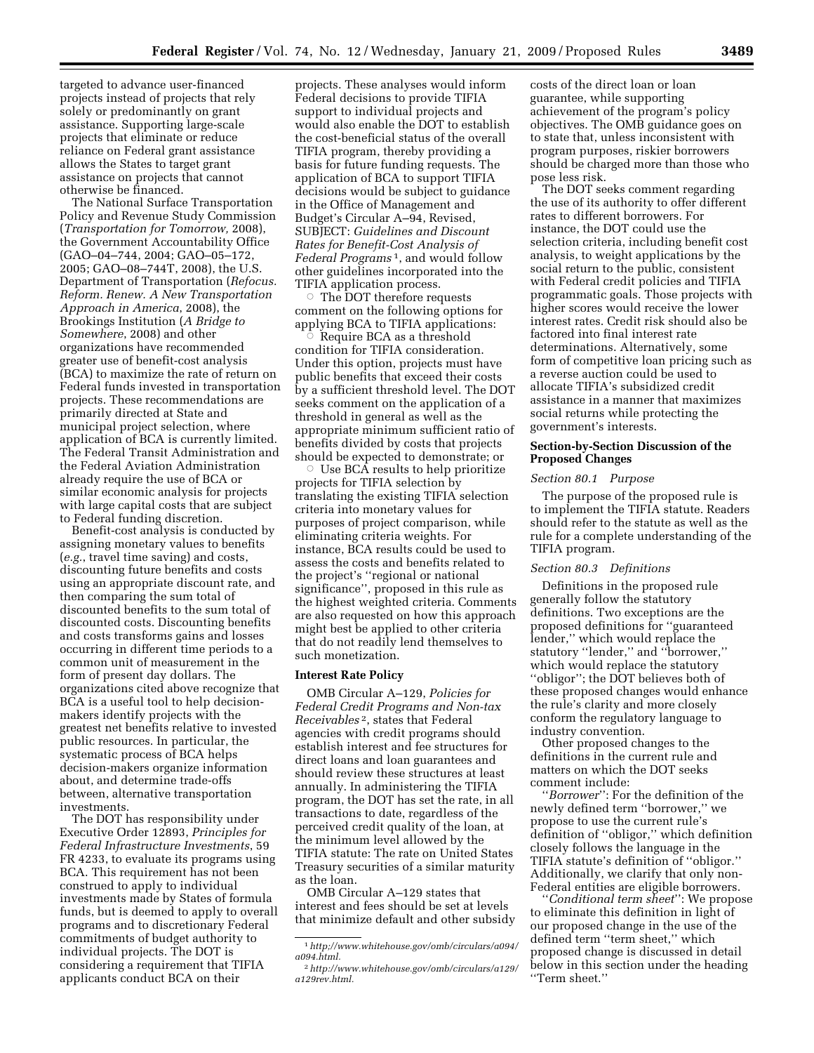targeted to advance user-financed projects instead of projects that rely solely or predominantly on grant assistance. Supporting large-scale projects that eliminate or reduce reliance on Federal grant assistance allows the States to target grant assistance on projects that cannot otherwise be financed.

The National Surface Transportation Policy and Revenue Study Commission (*Transportation for Tomorrow,* 2008), the Government Accountability Office (GAO–04–744, 2004; GAO–05–172, 2005; GAO–08–744T, 2008), the U.S. Department of Transportation (*Refocus. Reform. Renew. A New Transportation Approach in America*, 2008), the Brookings Institution (*A Bridge to Somewhere*, 2008) and other organizations have recommended greater use of benefit-cost analysis (BCA) to maximize the rate of return on Federal funds invested in transportation projects. These recommendations are primarily directed at State and municipal project selection, where application of BCA is currently limited. The Federal Transit Administration and the Federal Aviation Administration already require the use of BCA or similar economic analysis for projects with large capital costs that are subject to Federal funding discretion.

Benefit-cost analysis is conducted by assigning monetary values to benefits (*e.g.*, travel time saving) and costs, discounting future benefits and costs using an appropriate discount rate, and then comparing the sum total of discounted benefits to the sum total of discounted costs. Discounting benefits and costs transforms gains and losses occurring in different time periods to a common unit of measurement in the form of present day dollars. The organizations cited above recognize that BCA is a useful tool to help decisionmakers identify projects with the greatest net benefits relative to invested public resources. In particular, the systematic process of BCA helps decision-makers organize information about, and determine trade-offs between, alternative transportation investments.

The DOT has responsibility under Executive Order 12893, *Principles for Federal Infrastructure Investments*, 59 FR 4233, to evaluate its programs using BCA. This requirement has not been construed to apply to individual investments made by States of formula funds, but is deemed to apply to overall programs and to discretionary Federal commitments of budget authority to individual projects. The DOT is considering a requirement that TIFIA applicants conduct BCA on their

projects. These analyses would inform Federal decisions to provide TIFIA support to individual projects and would also enable the DOT to establish the cost-beneficial status of the overall TIFIA program, thereby providing a basis for future funding requests. The application of BCA to support TIFIA decisions would be subject to guidance in the Office of Management and Budget's Circular A–94, Revised, SUBJECT: *Guidelines and Discount Rates for Benefit-Cost Analysis of Federal Programs* 1, and would follow other guidelines incorporated into the TIFIA application process.

 $\circ$  The DOT therefore requests comment on the following options for applying BCA to TIFIA applications:

 $\overline{O}$  Require BCA as a threshold condition for TIFIA consideration. Under this option, projects must have public benefits that exceed their costs by a sufficient threshold level. The DOT seeks comment on the application of a threshold in general as well as the appropriate minimum sufficient ratio of benefits divided by costs that projects should be expected to demonstrate; or

 $\circ$  Use BCA results to help prioritize projects for TIFIA selection by translating the existing TIFIA selection criteria into monetary values for purposes of project comparison, while eliminating criteria weights. For instance, BCA results could be used to assess the costs and benefits related to the project's ''regional or national significance'', proposed in this rule as the highest weighted criteria. Comments are also requested on how this approach might best be applied to other criteria that do not readily lend themselves to such monetization.

#### **Interest Rate Policy**

OMB Circular A–129, *Policies for Federal Credit Programs and Non-tax Receivables* 2, states that Federal agencies with credit programs should establish interest and fee structures for direct loans and loan guarantees and should review these structures at least annually. In administering the TIFIA program, the DOT has set the rate, in all transactions to date, regardless of the perceived credit quality of the loan, at the minimum level allowed by the TIFIA statute: The rate on United States Treasury securities of a similar maturity as the loan.

OMB Circular A–129 states that interest and fees should be set at levels that minimize default and other subsidy costs of the direct loan or loan guarantee, while supporting achievement of the program's policy objectives. The OMB guidance goes on to state that, unless inconsistent with program purposes, riskier borrowers should be charged more than those who pose less risk.

The DOT seeks comment regarding the use of its authority to offer different rates to different borrowers. For instance, the DOT could use the selection criteria, including benefit cost analysis, to weight applications by the social return to the public, consistent with Federal credit policies and TIFIA programmatic goals. Those projects with higher scores would receive the lower interest rates. Credit risk should also be factored into final interest rate determinations. Alternatively, some form of competitive loan pricing such as a reverse auction could be used to allocate TIFIA's subsidized credit assistance in a manner that maximizes social returns while protecting the government's interests.

## **Section-by-Section Discussion of the Proposed Changes**

#### *Section 80.1 Purpose*

The purpose of the proposed rule is to implement the TIFIA statute. Readers should refer to the statute as well as the rule for a complete understanding of the TIFIA program.

#### *Section 80.3 Definitions*

Definitions in the proposed rule generally follow the statutory definitions. Two exceptions are the proposed definitions for ''guaranteed lender,'' which would replace the statutory ''lender,'' and ''borrower,'' which would replace the statutory ''obligor''; the DOT believes both of these proposed changes would enhance the rule's clarity and more closely conform the regulatory language to industry convention.

Other proposed changes to the definitions in the current rule and matters on which the DOT seeks comment include:

''*Borrower*'': For the definition of the newly defined term ''borrower,'' we propose to use the current rule's definition of ''obligor,'' which definition closely follows the language in the TIFIA statute's definition of ''obligor.'' Additionally, we clarify that only non-Federal entities are eligible borrowers.

''*Conditional term sheet*'': We propose to eliminate this definition in light of our proposed change in the use of the defined term ''term sheet,'' which proposed change is discussed in detail below in this section under the heading ''Term sheet.''

<sup>1</sup>*http;//www.whitehouse.gov/omb/circulars/a094/ a094.html.* 

<sup>2</sup>*http://www.whitehouse.gov/omb/circulars/a129/ a129rev.html.*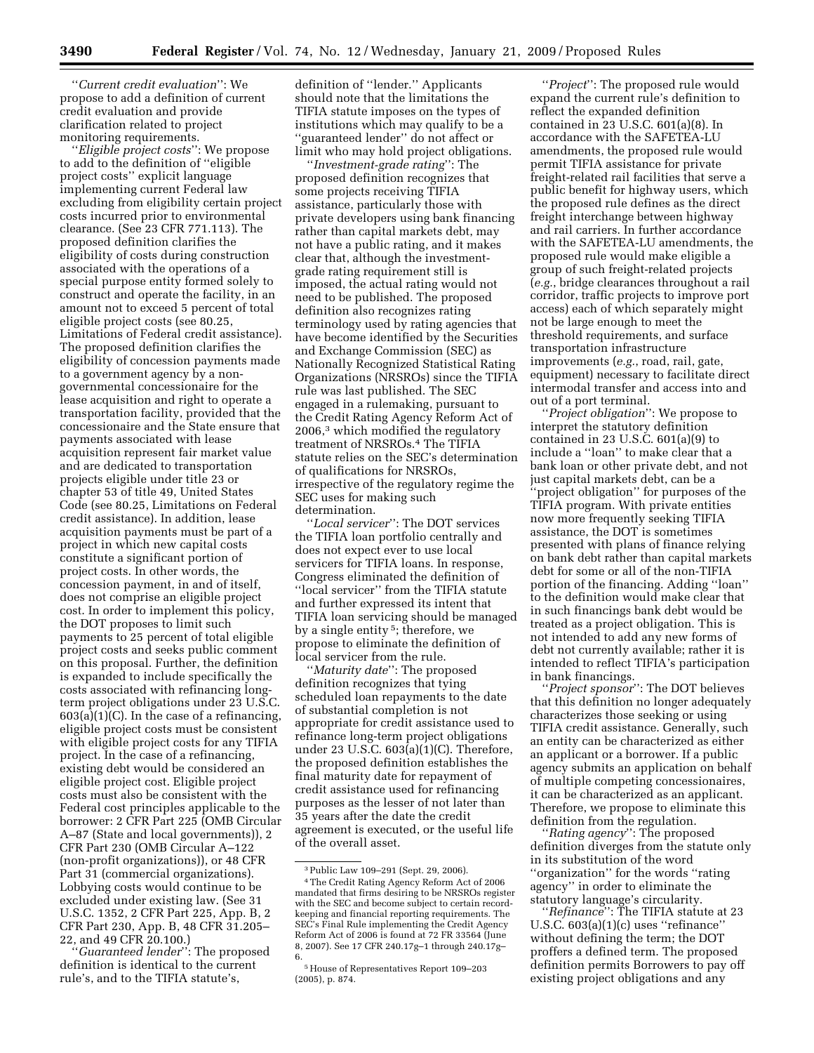''*Current credit evaluation*'': We propose to add a definition of current credit evaluation and provide clarification related to project monitoring requirements.

''*Eligible project costs*'': We propose to add to the definition of ''eligible project costs'' explicit language implementing current Federal law excluding from eligibility certain project costs incurred prior to environmental clearance. (See 23 CFR 771.113). The proposed definition clarifies the eligibility of costs during construction associated with the operations of a special purpose entity formed solely to construct and operate the facility, in an amount not to exceed 5 percent of total eligible project costs (see 80.25, Limitations of Federal credit assistance). The proposed definition clarifies the eligibility of concession payments made to a government agency by a nongovernmental concessionaire for the lease acquisition and right to operate a transportation facility, provided that the concessionaire and the State ensure that payments associated with lease acquisition represent fair market value and are dedicated to transportation projects eligible under title 23 or chapter 53 of title 49, United States Code (see 80.25, Limitations on Federal credit assistance). In addition, lease acquisition payments must be part of a project in which new capital costs constitute a significant portion of project costs. In other words, the concession payment, in and of itself, does not comprise an eligible project cost. In order to implement this policy, the DOT proposes to limit such payments to 25 percent of total eligible project costs and seeks public comment on this proposal. Further, the definition is expanded to include specifically the costs associated with refinancing longterm project obligations under 23 U.S.C.  $603(a)(1)(C)$ . In the case of a refinancing, eligible project costs must be consistent with eligible project costs for any TIFIA project. In the case of a refinancing, existing debt would be considered an eligible project cost. Eligible project costs must also be consistent with the Federal cost principles applicable to the borrower: 2 CFR Part 225 (OMB Circular A–87 (State and local governments)), 2 CFR Part 230 (OMB Circular A–122 (non-profit organizations)), or 48 CFR Part 31 (commercial organizations). Lobbying costs would continue to be excluded under existing law. (See 31 U.S.C. 1352, 2 CFR Part 225, App. B, 2 CFR Part 230, App. B, 48 CFR 31.205– 22, and 49 CFR 20.100.)

''*Guaranteed lender*'': The proposed definition is identical to the current rule's, and to the TIFIA statute's,

definition of ''lender.'' Applicants should note that the limitations the TIFIA statute imposes on the types of institutions which may qualify to be a ''guaranteed lender'' do not affect or limit who may hold project obligations.

''*Investment-grade rating*'': The proposed definition recognizes that some projects receiving TIFIA assistance, particularly those with private developers using bank financing rather than capital markets debt, may not have a public rating, and it makes clear that, although the investmentgrade rating requirement still is imposed, the actual rating would not need to be published. The proposed definition also recognizes rating terminology used by rating agencies that have become identified by the Securities and Exchange Commission (SEC) as Nationally Recognized Statistical Rating Organizations (NRSROs) since the TIFIA rule was last published. The SEC engaged in a rulemaking, pursuant to the Credit Rating Agency Reform Act of 2006,3 which modified the regulatory treatment of NRSROs.4 The TIFIA statute relies on the SEC's determination of qualifications for NRSROs, irrespective of the regulatory regime the SEC uses for making such determination.

''*Local servicer*'': The DOT services the TIFIA loan portfolio centrally and does not expect ever to use local servicers for TIFIA loans. In response, Congress eliminated the definition of ''local servicer'' from the TIFIA statute and further expressed its intent that TIFIA loan servicing should be managed by a single entity 5; therefore, we propose to eliminate the definition of local servicer from the rule.

''*Maturity date*'': The proposed definition recognizes that tying scheduled loan repayments to the date of substantial completion is not appropriate for credit assistance used to refinance long-term project obligations under 23 U.S.C. 603(a)(1)(C). Therefore, the proposed definition establishes the final maturity date for repayment of credit assistance used for refinancing purposes as the lesser of not later than 35 years after the date the credit agreement is executed, or the useful life of the overall asset.

''*Project*'': The proposed rule would expand the current rule's definition to reflect the expanded definition contained in 23 U.S.C. 601(a)(8). In accordance with the SAFETEA-LU amendments, the proposed rule would permit TIFIA assistance for private freight-related rail facilities that serve a public benefit for highway users, which the proposed rule defines as the direct freight interchange between highway and rail carriers. In further accordance with the SAFETEA-LU amendments, the proposed rule would make eligible a group of such freight-related projects (*e.g.*, bridge clearances throughout a rail corridor, traffic projects to improve port access) each of which separately might not be large enough to meet the threshold requirements, and surface transportation infrastructure improvements (*e.g.*, road, rail, gate, equipment) necessary to facilitate direct intermodal transfer and access into and out of a port terminal.

''*Project obligation*'': We propose to interpret the statutory definition contained in 23 U.S.C.  $601(a)(9)$  to include a ''loan'' to make clear that a bank loan or other private debt, and not just capital markets debt, can be a 'project obligation'' for purposes of the TIFIA program. With private entities now more frequently seeking TIFIA assistance, the DOT is sometimes presented with plans of finance relying on bank debt rather than capital markets debt for some or all of the non-TIFIA portion of the financing. Adding ''loan'' to the definition would make clear that in such financings bank debt would be treated as a project obligation. This is not intended to add any new forms of debt not currently available; rather it is intended to reflect TIFIA's participation in bank financings.

''*Project sponsor*'': The DOT believes that this definition no longer adequately characterizes those seeking or using TIFIA credit assistance. Generally, such an entity can be characterized as either an applicant or a borrower. If a public agency submits an application on behalf of multiple competing concessionaires, it can be characterized as an applicant. Therefore, we propose to eliminate this definition from the regulation.

''*Rating agency*'': The proposed definition diverges from the statute only in its substitution of the word ''organization'' for the words ''rating agency'' in order to eliminate the statutory language's circularity.

''*Refinance*'': The TIFIA statute at 23 U.S.C. 603(a)(1)(c) uses ''refinance'' without defining the term; the DOT proffers a defined term. The proposed definition permits Borrowers to pay off existing project obligations and any

<sup>3</sup>Public Law 109–291 (Sept. 29, 2006). 4The Credit Rating Agency Reform Act of 2006 mandated that firms desiring to be NRSROs register with the SEC and become subject to certain recordkeeping and financial reporting requirements. The SEC's Final Rule implementing the Credit Agency Reform Act of 2006 is found at 72 FR 33564 (June 8, 2007). See 17 CFR 240.17g–1 through 240.17g– 6.

<sup>5</sup>House of Representatives Report 109–203 (2005), p. 874.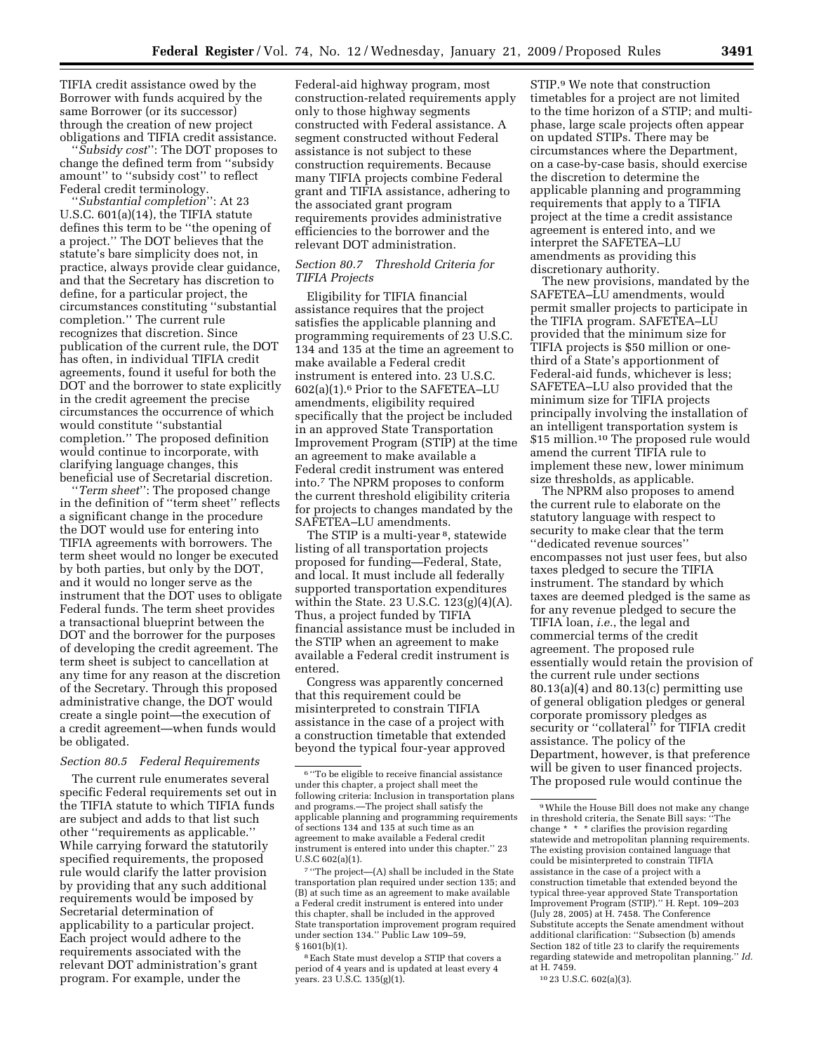TIFIA credit assistance owed by the Borrower with funds acquired by the same Borrower (or its successor) through the creation of new project obligations and TIFIA credit assistance.

''*Subsidy cost*'': The DOT proposes to change the defined term from ''subsidy amount'' to ''subsidy cost'' to reflect Federal credit terminology.

''*Substantial completion*'': At 23 U.S.C. 601(a)(14), the TIFIA statute defines this term to be ''the opening of a project.'' The DOT believes that the statute's bare simplicity does not, in practice, always provide clear guidance, and that the Secretary has discretion to define, for a particular project, the circumstances constituting ''substantial completion.'' The current rule recognizes that discretion. Since publication of the current rule, the DOT has often, in individual TIFIA credit agreements, found it useful for both the DOT and the borrower to state explicitly in the credit agreement the precise circumstances the occurrence of which would constitute ''substantial completion.'' The proposed definition would continue to incorporate, with clarifying language changes, this beneficial use of Secretarial discretion.

''*Term sheet*'': The proposed change in the definition of ''term sheet'' reflects a significant change in the procedure the DOT would use for entering into TIFIA agreements with borrowers. The term sheet would no longer be executed by both parties, but only by the DOT, and it would no longer serve as the instrument that the DOT uses to obligate Federal funds. The term sheet provides a transactional blueprint between the DOT and the borrower for the purposes of developing the credit agreement. The term sheet is subject to cancellation at any time for any reason at the discretion of the Secretary. Through this proposed administrative change, the DOT would create a single point—the execution of a credit agreement—when funds would be obligated.

## *Section 80.5 Federal Requirements*

The current rule enumerates several specific Federal requirements set out in the TIFIA statute to which TIFIA funds are subject and adds to that list such other ''requirements as applicable.'' While carrying forward the statutorily specified requirements, the proposed rule would clarify the latter provision by providing that any such additional requirements would be imposed by Secretarial determination of applicability to a particular project. Each project would adhere to the requirements associated with the relevant DOT administration's grant program. For example, under the

Federal-aid highway program, most construction-related requirements apply only to those highway segments constructed with Federal assistance. A segment constructed without Federal assistance is not subject to these construction requirements. Because many TIFIA projects combine Federal grant and TIFIA assistance, adhering to the associated grant program requirements provides administrative efficiencies to the borrower and the relevant DOT administration.

# *Section 80.7 Threshold Criteria for TIFIA Projects*

Eligibility for TIFIA financial assistance requires that the project satisfies the applicable planning and programming requirements of 23 U.S.C. 134 and 135 at the time an agreement to make available a Federal credit instrument is entered into. 23 U.S.C. 602(a)(1).6 Prior to the SAFETEA–LU amendments, eligibility required specifically that the project be included in an approved State Transportation Improvement Program (STIP) at the time an agreement to make available a Federal credit instrument was entered into.7 The NPRM proposes to conform the current threshold eligibility criteria for projects to changes mandated by the SAFETEA–LU amendments.

The STIP is a multi-year 8, statewide listing of all transportation projects proposed for funding—Federal, State, and local. It must include all federally supported transportation expenditures within the State. 23 U.S.C. 123(g)(4)(A). Thus, a project funded by TIFIA financial assistance must be included in the STIP when an agreement to make available a Federal credit instrument is entered.

Congress was apparently concerned that this requirement could be misinterpreted to constrain TIFIA assistance in the case of a project with a construction timetable that extended beyond the typical four-year approved

STIP.9 We note that construction timetables for a project are not limited to the time horizon of a STIP; and multiphase, large scale projects often appear on updated STIPs. There may be circumstances where the Department, on a case-by-case basis, should exercise the discretion to determine the applicable planning and programming requirements that apply to a TIFIA project at the time a credit assistance agreement is entered into, and we interpret the SAFETEA–LU amendments as providing this discretionary authority.

The new provisions, mandated by the SAFETEA–LU amendments, would permit smaller projects to participate in the TIFIA program. SAFETEA–LU provided that the minimum size for TIFIA projects is \$50 million or onethird of a State's apportionment of Federal-aid funds, whichever is less; SAFETEA–LU also provided that the minimum size for TIFIA projects principally involving the installation of an intelligent transportation system is \$15 million.<sup>10</sup> The proposed rule would amend the current TIFIA rule to implement these new, lower minimum size thresholds, as applicable.

The NPRM also proposes to amend the current rule to elaborate on the statutory language with respect to security to make clear that the term ''dedicated revenue sources'' encompasses not just user fees, but also taxes pledged to secure the TIFIA instrument. The standard by which taxes are deemed pledged is the same as for any revenue pledged to secure the TIFIA loan, *i.e.*, the legal and commercial terms of the credit agreement. The proposed rule essentially would retain the provision of the current rule under sections 80.13(a)(4) and 80.13(c) permitting use of general obligation pledges or general corporate promissory pledges as security or ''collateral'' for TIFIA credit assistance. The policy of the Department, however, is that preference will be given to user financed projects. The proposed rule would continue the

10 23 U.S.C. 602(a)(3).

<sup>6</sup> ''To be eligible to receive financial assistance under this chapter, a project shall meet the following criteria: Inclusion in transportation plans and programs.—The project shall satisfy the applicable planning and programming requirements of sections 134 and 135 at such time as an agreement to make available a Federal credit instrument is entered into under this chapter.'' 23 U.S.C 602(a)(1).

<sup>7</sup> ''The project—(A) shall be included in the State transportation plan required under section 135; and (B) at such time as an agreement to make available a Federal credit instrument is entered into under this chapter, shall be included in the approved State transportation improvement program required under section 134.'' Public Law 109–59, § 1601(b)(1).

<sup>8</sup>Each State must develop a STIP that covers a period of 4 years and is updated at least every 4 years. 23 U.S.C.  $135(g)(1)$ .

<sup>9</sup>While the House Bill does not make any change in threshold criteria, the Senate Bill says: ''The change \* \* \* clarifies the provision regarding statewide and metropolitan planning requirements. The existing provision contained language that could be misinterpreted to constrain TIFIA assistance in the case of a project with a construction timetable that extended beyond the typical three-year approved State Transportation Improvement Program (STIP).'' H. Rept. 109–203 (July 28, 2005) at H. 7458. The Conference Substitute accepts the Senate amendment without additional clarification: ''Subsection (b) amends Section 182 of title 23 to clarify the requirements regarding statewide and metropolitan planning.'' *Id.*  at H. 7459.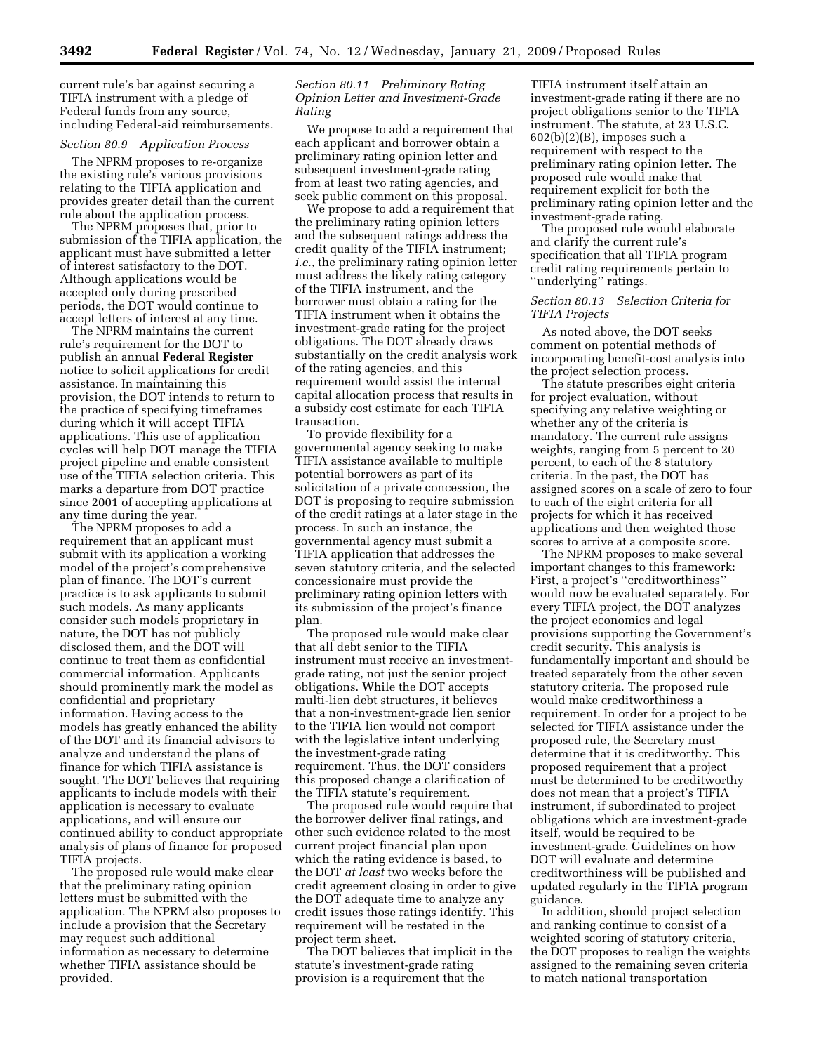current rule's bar against securing a TIFIA instrument with a pledge of Federal funds from any source, including Federal-aid reimbursements.

#### *Section 80.9 Application Process*

The NPRM proposes to re-organize the existing rule's various provisions relating to the TIFIA application and provides greater detail than the current rule about the application process.

The NPRM proposes that, prior to submission of the TIFIA application, the applicant must have submitted a letter of interest satisfactory to the DOT. Although applications would be accepted only during prescribed periods, the DOT would continue to accept letters of interest at any time.

The NPRM maintains the current rule's requirement for the DOT to publish an annual **Federal Register**  notice to solicit applications for credit assistance. In maintaining this provision, the DOT intends to return to the practice of specifying timeframes during which it will accept TIFIA applications. This use of application cycles will help DOT manage the TIFIA project pipeline and enable consistent use of the TIFIA selection criteria. This marks a departure from DOT practice since 2001 of accepting applications at any time during the year.

The NPRM proposes to add a requirement that an applicant must submit with its application a working model of the project's comprehensive plan of finance. The DOT's current practice is to ask applicants to submit such models. As many applicants consider such models proprietary in nature, the DOT has not publicly disclosed them, and the DOT will continue to treat them as confidential commercial information. Applicants should prominently mark the model as confidential and proprietary information. Having access to the models has greatly enhanced the ability of the DOT and its financial advisors to analyze and understand the plans of finance for which TIFIA assistance is sought. The DOT believes that requiring applicants to include models with their application is necessary to evaluate applications, and will ensure our continued ability to conduct appropriate analysis of plans of finance for proposed TIFIA projects.

The proposed rule would make clear that the preliminary rating opinion letters must be submitted with the application. The NPRM also proposes to include a provision that the Secretary may request such additional information as necessary to determine whether TIFIA assistance should be provided.

## *Section 80.11 Preliminary Rating Opinion Letter and Investment-Grade Rating*

We propose to add a requirement that each applicant and borrower obtain a preliminary rating opinion letter and subsequent investment-grade rating from at least two rating agencies, and seek public comment on this proposal.

We propose to add a requirement that the preliminary rating opinion letters and the subsequent ratings address the credit quality of the TIFIA instrument; *i.e.*, the preliminary rating opinion letter must address the likely rating category of the TIFIA instrument, and the borrower must obtain a rating for the TIFIA instrument when it obtains the investment-grade rating for the project obligations. The DOT already draws substantially on the credit analysis work of the rating agencies, and this requirement would assist the internal capital allocation process that results in a subsidy cost estimate for each TIFIA transaction.

To provide flexibility for a governmental agency seeking to make TIFIA assistance available to multiple potential borrowers as part of its solicitation of a private concession, the DOT is proposing to require submission of the credit ratings at a later stage in the process. In such an instance, the governmental agency must submit a TIFIA application that addresses the seven statutory criteria, and the selected concessionaire must provide the preliminary rating opinion letters with its submission of the project's finance plan.

The proposed rule would make clear that all debt senior to the TIFIA instrument must receive an investmentgrade rating, not just the senior project obligations. While the DOT accepts multi-lien debt structures, it believes that a non-investment-grade lien senior to the TIFIA lien would not comport with the legislative intent underlying the investment-grade rating requirement. Thus, the DOT considers this proposed change a clarification of the TIFIA statute's requirement.

The proposed rule would require that the borrower deliver final ratings, and other such evidence related to the most current project financial plan upon which the rating evidence is based, to the DOT *at least* two weeks before the credit agreement closing in order to give the DOT adequate time to analyze any credit issues those ratings identify. This requirement will be restated in the project term sheet.

The DOT believes that implicit in the statute's investment-grade rating provision is a requirement that the

TIFIA instrument itself attain an investment-grade rating if there are no project obligations senior to the TIFIA instrument. The statute, at 23 U.S.C. 602(b)(2)(B), imposes such a requirement with respect to the preliminary rating opinion letter. The proposed rule would make that requirement explicit for both the preliminary rating opinion letter and the investment-grade rating.

The proposed rule would elaborate and clarify the current rule's specification that all TIFIA program credit rating requirements pertain to "underlying" ratings.

#### *Section 80.13 Selection Criteria for TIFIA Projects*

As noted above, the DOT seeks comment on potential methods of incorporating benefit-cost analysis into the project selection process.

The statute prescribes eight criteria for project evaluation, without specifying any relative weighting or whether any of the criteria is mandatory. The current rule assigns weights, ranging from 5 percent to 20 percent, to each of the 8 statutory criteria. In the past, the DOT has assigned scores on a scale of zero to four to each of the eight criteria for all projects for which it has received applications and then weighted those scores to arrive at a composite score.

The NPRM proposes to make several important changes to this framework: First, a project's ''creditworthiness'' would now be evaluated separately. For every TIFIA project, the DOT analyzes the project economics and legal provisions supporting the Government's credit security. This analysis is fundamentally important and should be treated separately from the other seven statutory criteria. The proposed rule would make creditworthiness a requirement. In order for a project to be selected for TIFIA assistance under the proposed rule, the Secretary must determine that it is creditworthy. This proposed requirement that a project must be determined to be creditworthy does not mean that a project's TIFIA instrument, if subordinated to project obligations which are investment-grade itself, would be required to be investment-grade. Guidelines on how DOT will evaluate and determine creditworthiness will be published and updated regularly in the TIFIA program guidance.

In addition, should project selection and ranking continue to consist of a weighted scoring of statutory criteria, the DOT proposes to realign the weights assigned to the remaining seven criteria to match national transportation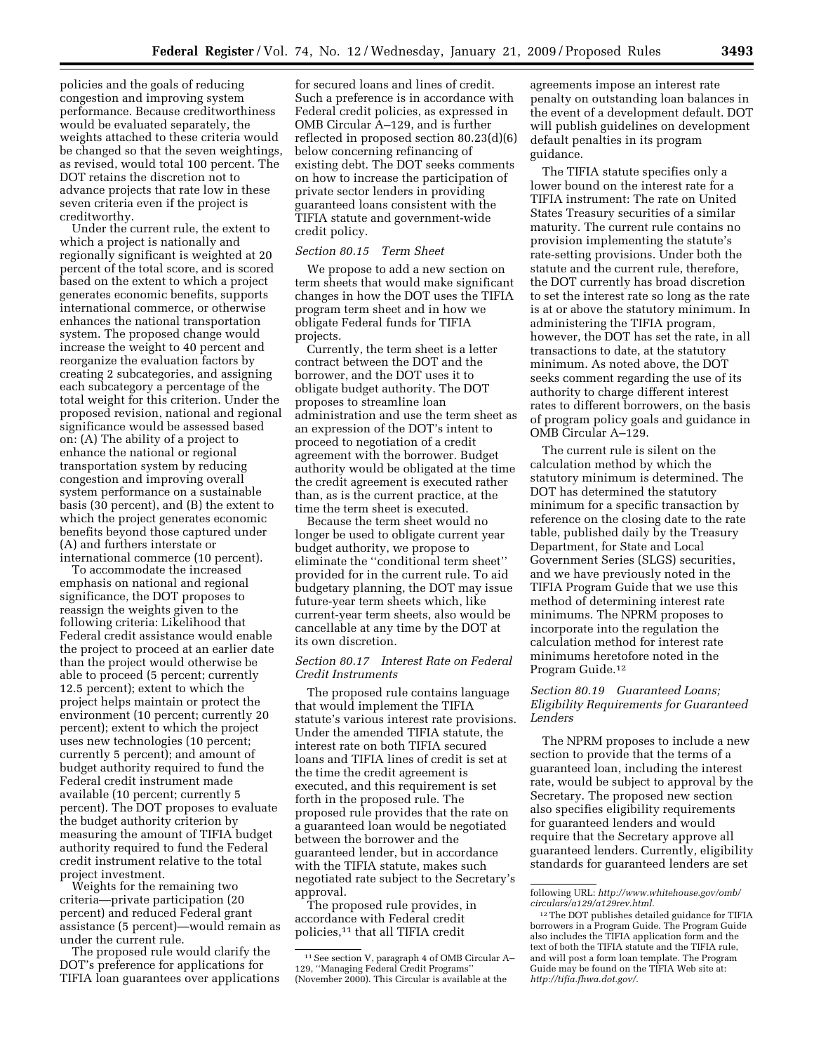policies and the goals of reducing congestion and improving system performance. Because creditworthiness would be evaluated separately, the weights attached to these criteria would be changed so that the seven weightings, as revised, would total 100 percent. The DOT retains the discretion not to advance projects that rate low in these seven criteria even if the project is creditworthy.

Under the current rule, the extent to which a project is nationally and regionally significant is weighted at 20 percent of the total score, and is scored based on the extent to which a project generates economic benefits, supports international commerce, or otherwise enhances the national transportation system. The proposed change would increase the weight to 40 percent and reorganize the evaluation factors by creating 2 subcategories, and assigning each subcategory a percentage of the total weight for this criterion. Under the proposed revision, national and regional significance would be assessed based on: (A) The ability of a project to enhance the national or regional transportation system by reducing congestion and improving overall system performance on a sustainable basis (30 percent), and (B) the extent to which the project generates economic benefits beyond those captured under (A) and furthers interstate or international commerce (10 percent).

To accommodate the increased emphasis on national and regional significance, the DOT proposes to reassign the weights given to the following criteria: Likelihood that Federal credit assistance would enable the project to proceed at an earlier date than the project would otherwise be able to proceed (5 percent; currently 12.5 percent); extent to which the project helps maintain or protect the environment (10 percent; currently 20 percent); extent to which the project uses new technologies (10 percent; currently 5 percent); and amount of budget authority required to fund the Federal credit instrument made available (10 percent; currently 5 percent). The DOT proposes to evaluate the budget authority criterion by measuring the amount of TIFIA budget authority required to fund the Federal credit instrument relative to the total project investment.

Weights for the remaining two criteria—private participation (20 percent) and reduced Federal grant assistance (5 percent)—would remain as under the current rule.

The proposed rule would clarify the DOT's preference for applications for TIFIA loan guarantees over applications

for secured loans and lines of credit. Such a preference is in accordance with Federal credit policies, as expressed in OMB Circular A–129, and is further reflected in proposed section 80.23(d)(6) below concerning refinancing of existing debt. The DOT seeks comments on how to increase the participation of private sector lenders in providing guaranteed loans consistent with the TIFIA statute and government-wide credit policy.

#### *Section 80.15 Term Sheet*

We propose to add a new section on term sheets that would make significant changes in how the DOT uses the TIFIA program term sheet and in how we obligate Federal funds for TIFIA projects.

Currently, the term sheet is a letter contract between the DOT and the borrower, and the DOT uses it to obligate budget authority. The DOT proposes to streamline loan administration and use the term sheet as an expression of the DOT's intent to proceed to negotiation of a credit agreement with the borrower. Budget authority would be obligated at the time the credit agreement is executed rather than, as is the current practice, at the time the term sheet is executed.

Because the term sheet would no longer be used to obligate current year budget authority, we propose to eliminate the ''conditional term sheet'' provided for in the current rule. To aid budgetary planning, the DOT may issue future-year term sheets which, like current-year term sheets, also would be cancellable at any time by the DOT at its own discretion.

### *Section 80.17 Interest Rate on Federal Credit Instruments*

The proposed rule contains language that would implement the TIFIA statute's various interest rate provisions. Under the amended TIFIA statute, the interest rate on both TIFIA secured loans and TIFIA lines of credit is set at the time the credit agreement is executed, and this requirement is set forth in the proposed rule. The proposed rule provides that the rate on a guaranteed loan would be negotiated between the borrower and the guaranteed lender, but in accordance with the TIFIA statute, makes such negotiated rate subject to the Secretary's approval.

The proposed rule provides, in accordance with Federal credit policies,11 that all TIFIA credit

agreements impose an interest rate penalty on outstanding loan balances in the event of a development default. DOT will publish guidelines on development default penalties in its program guidance.

The TIFIA statute specifies only a lower bound on the interest rate for a TIFIA instrument: The rate on United States Treasury securities of a similar maturity. The current rule contains no provision implementing the statute's rate-setting provisions. Under both the statute and the current rule, therefore, the DOT currently has broad discretion to set the interest rate so long as the rate is at or above the statutory minimum. In administering the TIFIA program, however, the DOT has set the rate, in all transactions to date, at the statutory minimum. As noted above, the DOT seeks comment regarding the use of its authority to charge different interest rates to different borrowers, on the basis of program policy goals and guidance in OMB Circular A–129.

The current rule is silent on the calculation method by which the statutory minimum is determined. The DOT has determined the statutory minimum for a specific transaction by reference on the closing date to the rate table, published daily by the Treasury Department, for State and Local Government Series (SLGS) securities, and we have previously noted in the TIFIA Program Guide that we use this method of determining interest rate minimums. The NPRM proposes to incorporate into the regulation the calculation method for interest rate minimums heretofore noted in the Program Guide.12

## *Section 80.19 Guaranteed Loans; Eligibility Requirements for Guaranteed Lenders*

The NPRM proposes to include a new section to provide that the terms of a guaranteed loan, including the interest rate, would be subject to approval by the Secretary. The proposed new section also specifies eligibility requirements for guaranteed lenders and would require that the Secretary approve all guaranteed lenders. Currently, eligibility standards for guaranteed lenders are set

<sup>11</sup>See section V, paragraph 4 of OMB Circular A– 129, ''Managing Federal Credit Programs'' (November 2000). This Circular is available at the

following URL: *http://www.whitehouse.gov/omb/ circulars/a129/a129rev.html.* 

<sup>12</sup>The DOT publishes detailed guidance for TIFIA borrowers in a Program Guide. The Program Guide also includes the TIFIA application form and the text of both the TIFIA statute and the TIFIA rule, and will post a form loan template. The Program Guide may be found on the TIFIA Web site at: *http://tifia.fhwa.dot.gov/.*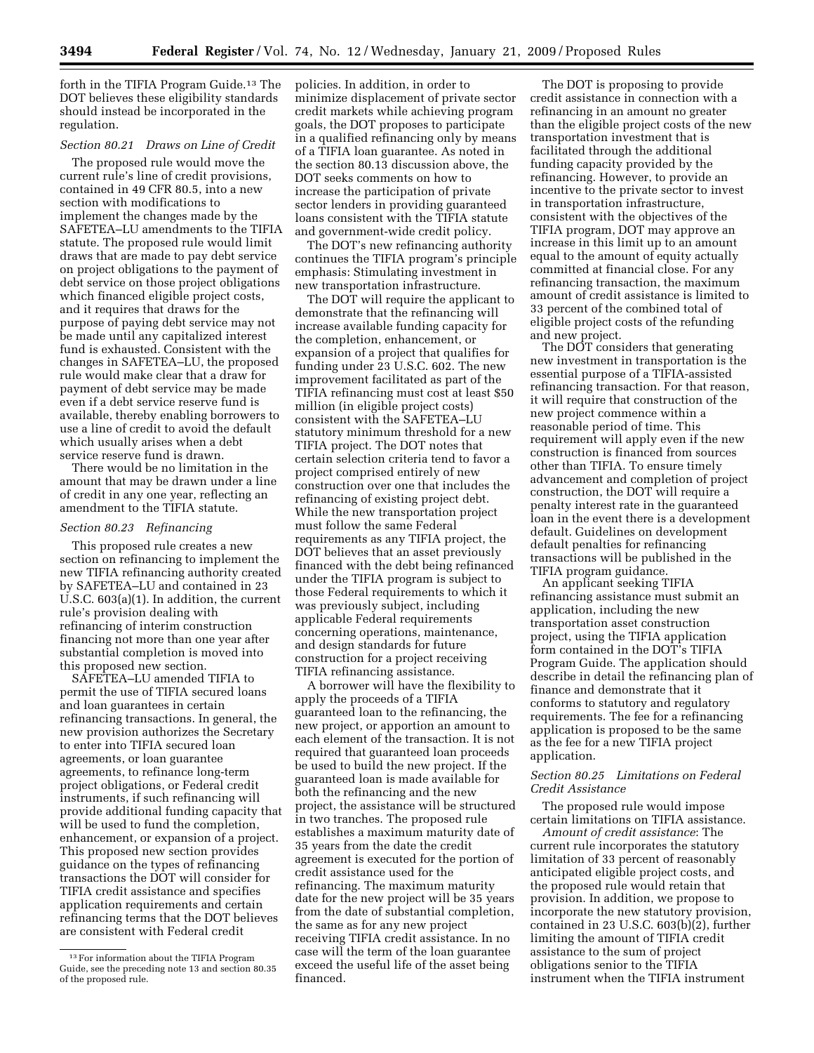forth in the TIFIA Program Guide.<sup>13</sup> The DOT believes these eligibility standards should instead be incorporated in the regulation.

# *Section 80.21 Draws on Line of Credit*

The proposed rule would move the current rule's line of credit provisions, contained in 49 CFR 80.5, into a new section with modifications to implement the changes made by the SAFETEA–LU amendments to the TIFIA statute. The proposed rule would limit draws that are made to pay debt service on project obligations to the payment of debt service on those project obligations which financed eligible project costs, and it requires that draws for the purpose of paying debt service may not be made until any capitalized interest fund is exhausted. Consistent with the changes in SAFETEA–LU, the proposed rule would make clear that a draw for payment of debt service may be made even if a debt service reserve fund is available, thereby enabling borrowers to use a line of credit to avoid the default which usually arises when a debt service reserve fund is drawn.

There would be no limitation in the amount that may be drawn under a line of credit in any one year, reflecting an amendment to the TIFIA statute.

#### *Section 80.23 Refinancing*

This proposed rule creates a new section on refinancing to implement the new TIFIA refinancing authority created by SAFETEA–LU and contained in 23 U.S.C. 603(a)(1). In addition, the current rule's provision dealing with refinancing of interim construction financing not more than one year after substantial completion is moved into this proposed new section.

SAFETEA–LU amended TIFIA to permit the use of TIFIA secured loans and loan guarantees in certain refinancing transactions. In general, the new provision authorizes the Secretary to enter into TIFIA secured loan agreements, or loan guarantee agreements, to refinance long-term project obligations, or Federal credit instruments, if such refinancing will provide additional funding capacity that will be used to fund the completion, enhancement, or expansion of a project. This proposed new section provides guidance on the types of refinancing transactions the DOT will consider for TIFIA credit assistance and specifies application requirements and certain refinancing terms that the DOT believes are consistent with Federal credit

policies. In addition, in order to minimize displacement of private sector credit markets while achieving program goals, the DOT proposes to participate in a qualified refinancing only by means of a TIFIA loan guarantee. As noted in the section 80.13 discussion above, the DOT seeks comments on how to increase the participation of private sector lenders in providing guaranteed loans consistent with the TIFIA statute and government-wide credit policy.

The DOT's new refinancing authority continues the TIFIA program's principle emphasis: Stimulating investment in new transportation infrastructure.

The DOT will require the applicant to demonstrate that the refinancing will increase available funding capacity for the completion, enhancement, or expansion of a project that qualifies for funding under 23 U.S.C. 602. The new improvement facilitated as part of the TIFIA refinancing must cost at least \$50 million (in eligible project costs) consistent with the SAFETEA–LU statutory minimum threshold for a new TIFIA project. The DOT notes that certain selection criteria tend to favor a project comprised entirely of new construction over one that includes the refinancing of existing project debt. While the new transportation project must follow the same Federal requirements as any TIFIA project, the DOT believes that an asset previously financed with the debt being refinanced under the TIFIA program is subject to those Federal requirements to which it was previously subject, including applicable Federal requirements concerning operations, maintenance, and design standards for future construction for a project receiving TIFIA refinancing assistance.

A borrower will have the flexibility to apply the proceeds of a TIFIA guaranteed loan to the refinancing, the new project, or apportion an amount to each element of the transaction. It is not required that guaranteed loan proceeds be used to build the new project. If the guaranteed loan is made available for both the refinancing and the new project, the assistance will be structured in two tranches. The proposed rule establishes a maximum maturity date of 35 years from the date the credit agreement is executed for the portion of credit assistance used for the refinancing. The maximum maturity date for the new project will be 35 years from the date of substantial completion, the same as for any new project receiving TIFIA credit assistance. In no case will the term of the loan guarantee exceed the useful life of the asset being financed.

The DOT is proposing to provide credit assistance in connection with a refinancing in an amount no greater than the eligible project costs of the new transportation investment that is facilitated through the additional funding capacity provided by the refinancing. However, to provide an incentive to the private sector to invest in transportation infrastructure, consistent with the objectives of the TIFIA program, DOT may approve an increase in this limit up to an amount equal to the amount of equity actually committed at financial close. For any refinancing transaction, the maximum amount of credit assistance is limited to 33 percent of the combined total of eligible project costs of the refunding and new project.

The DOT considers that generating new investment in transportation is the essential purpose of a TIFIA-assisted refinancing transaction. For that reason, it will require that construction of the new project commence within a reasonable period of time. This requirement will apply even if the new construction is financed from sources other than TIFIA. To ensure timely advancement and completion of project construction, the DOT will require a penalty interest rate in the guaranteed loan in the event there is a development default. Guidelines on development default penalties for refinancing transactions will be published in the TIFIA program guidance.

An applicant seeking TIFIA refinancing assistance must submit an application, including the new transportation asset construction project, using the TIFIA application form contained in the DOT's TIFIA Program Guide. The application should describe in detail the refinancing plan of finance and demonstrate that it conforms to statutory and regulatory requirements. The fee for a refinancing application is proposed to be the same as the fee for a new TIFIA project application.

## *Section 80.25 Limitations on Federal Credit Assistance*

The proposed rule would impose certain limitations on TIFIA assistance.

*Amount of credit assistance*: The current rule incorporates the statutory limitation of 33 percent of reasonably anticipated eligible project costs, and the proposed rule would retain that provision. In addition, we propose to incorporate the new statutory provision, contained in 23 U.S.C. 603(b)(2), further limiting the amount of TIFIA credit assistance to the sum of project obligations senior to the TIFIA instrument when the TIFIA instrument

<sup>13</sup>For information about the TIFIA Program Guide, see the preceding note 13 and section 80.35 of the proposed rule.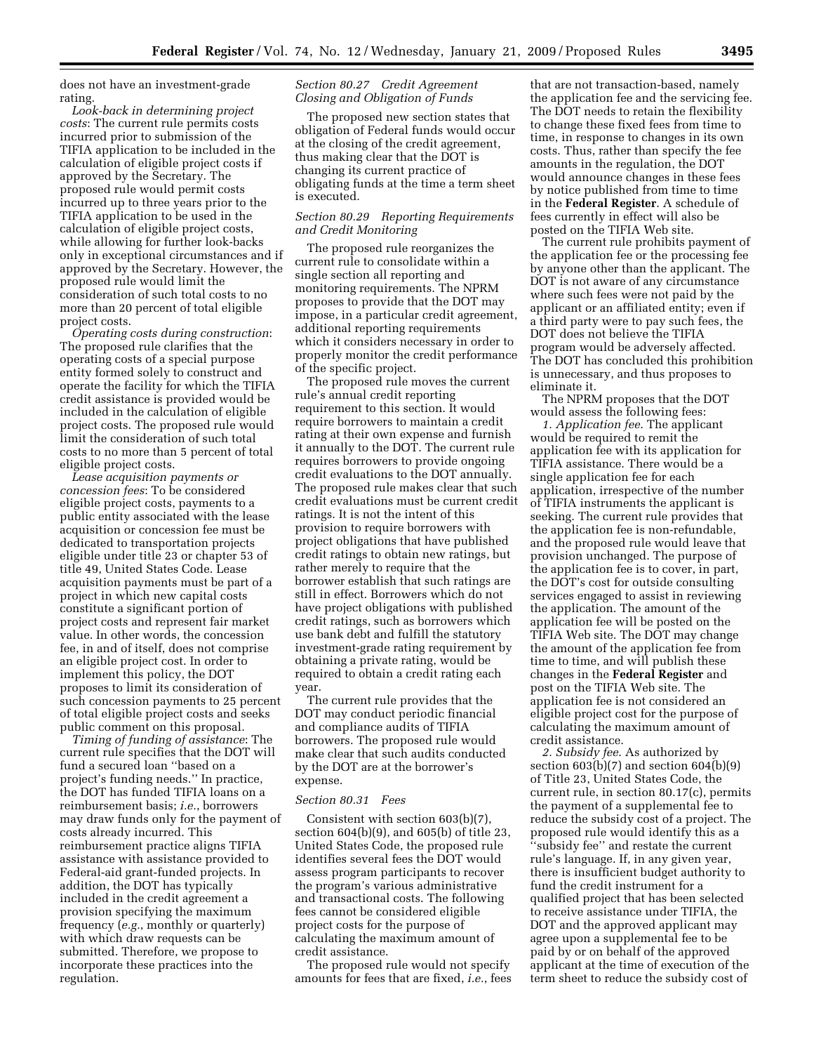does not have an investment-grade rating.

*Look-back in determining project costs*: The current rule permits costs incurred prior to submission of the TIFIA application to be included in the calculation of eligible project costs if approved by the Secretary. The proposed rule would permit costs incurred up to three years prior to the TIFIA application to be used in the calculation of eligible project costs, while allowing for further look-backs only in exceptional circumstances and if approved by the Secretary. However, the proposed rule would limit the consideration of such total costs to no more than 20 percent of total eligible project costs.

*Operating costs during construction*: The proposed rule clarifies that the operating costs of a special purpose entity formed solely to construct and operate the facility for which the TIFIA credit assistance is provided would be included in the calculation of eligible project costs. The proposed rule would limit the consideration of such total costs to no more than 5 percent of total eligible project costs.

*Lease acquisition payments or concession fees*: To be considered eligible project costs, payments to a public entity associated with the lease acquisition or concession fee must be dedicated to transportation projects eligible under title 23 or chapter 53 of title 49, United States Code. Lease acquisition payments must be part of a project in which new capital costs constitute a significant portion of project costs and represent fair market value. In other words, the concession fee, in and of itself, does not comprise an eligible project cost. In order to implement this policy, the DOT proposes to limit its consideration of such concession payments to 25 percent of total eligible project costs and seeks public comment on this proposal.

*Timing of funding of assistance*: The current rule specifies that the DOT will fund a secured loan ''based on a project's funding needs.'' In practice, the DOT has funded TIFIA loans on a reimbursement basis; *i.e.*, borrowers may draw funds only for the payment of costs already incurred. This reimbursement practice aligns TIFIA assistance with assistance provided to Federal-aid grant-funded projects. In addition, the DOT has typically included in the credit agreement a provision specifying the maximum frequency (*e.g.*, monthly or quarterly) with which draw requests can be submitted. Therefore, we propose to incorporate these practices into the regulation.

#### *Section 80.27 Credit Agreement Closing and Obligation of Funds*

The proposed new section states that obligation of Federal funds would occur at the closing of the credit agreement, thus making clear that the DOT is changing its current practice of obligating funds at the time a term sheet is executed.

## *Section 80.29 Reporting Requirements and Credit Monitoring*

The proposed rule reorganizes the current rule to consolidate within a single section all reporting and monitoring requirements. The NPRM proposes to provide that the DOT may impose, in a particular credit agreement, additional reporting requirements which it considers necessary in order to properly monitor the credit performance of the specific project.

The proposed rule moves the current rule's annual credit reporting requirement to this section. It would require borrowers to maintain a credit rating at their own expense and furnish it annually to the DOT. The current rule requires borrowers to provide ongoing credit evaluations to the DOT annually. The proposed rule makes clear that such credit evaluations must be current credit ratings. It is not the intent of this provision to require borrowers with project obligations that have published credit ratings to obtain new ratings, but rather merely to require that the borrower establish that such ratings are still in effect. Borrowers which do not have project obligations with published credit ratings, such as borrowers which use bank debt and fulfill the statutory investment-grade rating requirement by obtaining a private rating, would be required to obtain a credit rating each year.

The current rule provides that the DOT may conduct periodic financial and compliance audits of TIFIA borrowers. The proposed rule would make clear that such audits conducted by the DOT are at the borrower's expense.

#### *Section 80.31 Fees*

Consistent with section 603(b)(7), section 604(b)(9), and 605(b) of title 23, United States Code, the proposed rule identifies several fees the DOT would assess program participants to recover the program's various administrative and transactional costs. The following fees cannot be considered eligible project costs for the purpose of calculating the maximum amount of credit assistance.

The proposed rule would not specify amounts for fees that are fixed, *i.e.*, fees that are not transaction-based, namely the application fee and the servicing fee. The DOT needs to retain the flexibility to change these fixed fees from time to time, in response to changes in its own costs. Thus, rather than specify the fee amounts in the regulation, the DOT would announce changes in these fees by notice published from time to time in the **Federal Register**. A schedule of fees currently in effect will also be posted on the TIFIA Web site.

The current rule prohibits payment of the application fee or the processing fee by anyone other than the applicant. The DOT is not aware of any circumstance where such fees were not paid by the applicant or an affiliated entity; even if a third party were to pay such fees, the DOT does not believe the TIFIA program would be adversely affected. The DOT has concluded this prohibition is unnecessary, and thus proposes to eliminate it.

The NPRM proposes that the DOT would assess the following fees:

*1. Application fee*. The applicant would be required to remit the application fee with its application for TIFIA assistance. There would be a single application fee for each application, irrespective of the number of TIFIA instruments the applicant is seeking. The current rule provides that the application fee is non-refundable, and the proposed rule would leave that provision unchanged. The purpose of the application fee is to cover, in part, the DOT's cost for outside consulting services engaged to assist in reviewing the application. The amount of the application fee will be posted on the TIFIA Web site. The DOT may change the amount of the application fee from time to time, and will publish these changes in the **Federal Register** and post on the TIFIA Web site. The application fee is not considered an eligible project cost for the purpose of calculating the maximum amount of credit assistance.

*2. Subsidy fee*. As authorized by section  $603(b)(7)$  and section  $604(b)(9)$ of Title 23, United States Code, the current rule, in section 80.17(c), permits the payment of a supplemental fee to reduce the subsidy cost of a project. The proposed rule would identify this as a ''subsidy fee'' and restate the current rule's language. If, in any given year, there is insufficient budget authority to fund the credit instrument for a qualified project that has been selected to receive assistance under TIFIA, the DOT and the approved applicant may agree upon a supplemental fee to be paid by or on behalf of the approved applicant at the time of execution of the term sheet to reduce the subsidy cost of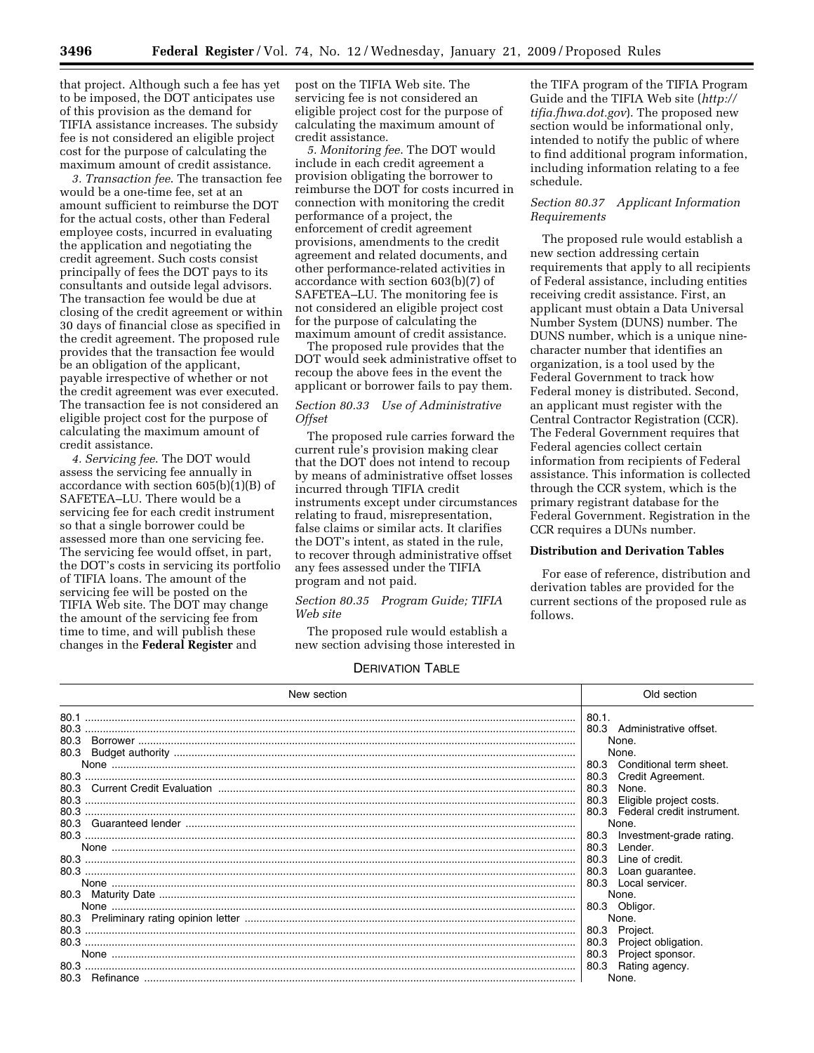that project. Although such a fee has yet to be imposed, the DOT anticipates use of this provision as the demand for TIFIA assistance increases. The subsidy fee is not considered an eligible project cost for the purpose of calculating the maximum amount of credit assistance.

*3. Transaction fee*. The transaction fee would be a one-time fee, set at an amount sufficient to reimburse the DOT for the actual costs, other than Federal employee costs, incurred in evaluating the application and negotiating the credit agreement. Such costs consist principally of fees the DOT pays to its consultants and outside legal advisors. The transaction fee would be due at closing of the credit agreement or within 30 days of financial close as specified in the credit agreement. The proposed rule provides that the transaction fee would be an obligation of the applicant, payable irrespective of whether or not the credit agreement was ever executed. The transaction fee is not considered an eligible project cost for the purpose of calculating the maximum amount of credit assistance.

*4. Servicing fee*. The DOT would assess the servicing fee annually in accordance with section 605(b)(1)(B) of SAFETEA–LU. There would be a servicing fee for each credit instrument so that a single borrower could be assessed more than one servicing fee. The servicing fee would offset, in part, the DOT's costs in servicing its portfolio of TIFIA loans. The amount of the servicing fee will be posted on the TIFIA Web site. The DOT may change the amount of the servicing fee from time to time, and will publish these changes in the **Federal Register** and

post on the TIFIA Web site. The servicing fee is not considered an eligible project cost for the purpose of calculating the maximum amount of credit assistance.

*5. Monitoring fee*. The DOT would include in each credit agreement a provision obligating the borrower to reimburse the DOT for costs incurred in connection with monitoring the credit performance of a project, the enforcement of credit agreement provisions, amendments to the credit agreement and related documents, and other performance-related activities in accordance with section 603(b)(7) of SAFETEA–LU. The monitoring fee is not considered an eligible project cost for the purpose of calculating the maximum amount of credit assistance.

The proposed rule provides that the DOT would seek administrative offset to recoup the above fees in the event the applicant or borrower fails to pay them.

#### *Section 80.33 Use of Administrative Offset*

The proposed rule carries forward the current rule's provision making clear that the DOT does not intend to recoup by means of administrative offset losses incurred through TIFIA credit instruments except under circumstances relating to fraud, misrepresentation, false claims or similar acts. It clarifies the DOT's intent, as stated in the rule, to recover through administrative offset any fees assessed under the TIFIA program and not paid.

#### *Section 80.35 Program Guide; TIFIA Web site*

The proposed rule would establish a new section advising those interested in

the TIFA program of the TIFIA Program Guide and the TIFIA Web site (*http:// tifia.fhwa.dot.gov*). The proposed new section would be informational only, intended to notify the public of where to find additional program information, including information relating to a fee schedule.

## *Section 80.37 Applicant Information Requirements*

The proposed rule would establish a new section addressing certain requirements that apply to all recipients of Federal assistance, including entities receiving credit assistance. First, an applicant must obtain a Data Universal Number System (DUNS) number. The DUNS number, which is a unique ninecharacter number that identifies an organization, is a tool used by the Federal Government to track how Federal money is distributed. Second, an applicant must register with the Central Contractor Registration (CCR). The Federal Government requires that Federal agencies collect certain information from recipients of Federal assistance. This information is collected through the CCR system, which is the primary registrant database for the Federal Government. Registration in the CCR requires a DUNs number.

#### **Distribution and Derivation Tables**

For ease of reference, distribution and derivation tables are provided for the current sections of the proposed rule as follows.

# DERIVATION TABLE

| New section                                                  | Old section                                                                                                                                                                                                                                                |
|--------------------------------------------------------------|------------------------------------------------------------------------------------------------------------------------------------------------------------------------------------------------------------------------------------------------------------|
| 80.1<br>80.3<br>80.3<br>80.3<br>80.3<br>80.3<br>80.3<br>80.3 | 80.1.<br>80.3 Administrative offset.<br>None.<br>None.<br>Conditional term sheet.<br>80.3<br>Credit Agreement.<br>80.3<br>80.3<br>None.<br>80.3<br>Eligible project costs.<br>80.3 Federal credit instrument.<br>None.<br>80.3<br>Investment-grade rating. |
|                                                              | 80.3<br>Lender.<br>80.3<br>Line of credit.<br>80.3<br>Loan guarantee.                                                                                                                                                                                      |
|                                                              | 80.3 Local servicer.<br>None.<br>80.3 Obligor.<br>None.                                                                                                                                                                                                    |
| 80.3                                                         | Project.<br>80.3<br>Project obligation.<br>80.3<br>80.3<br>Project sponsor.<br>80.3 Rating agency.<br>None.                                                                                                                                                |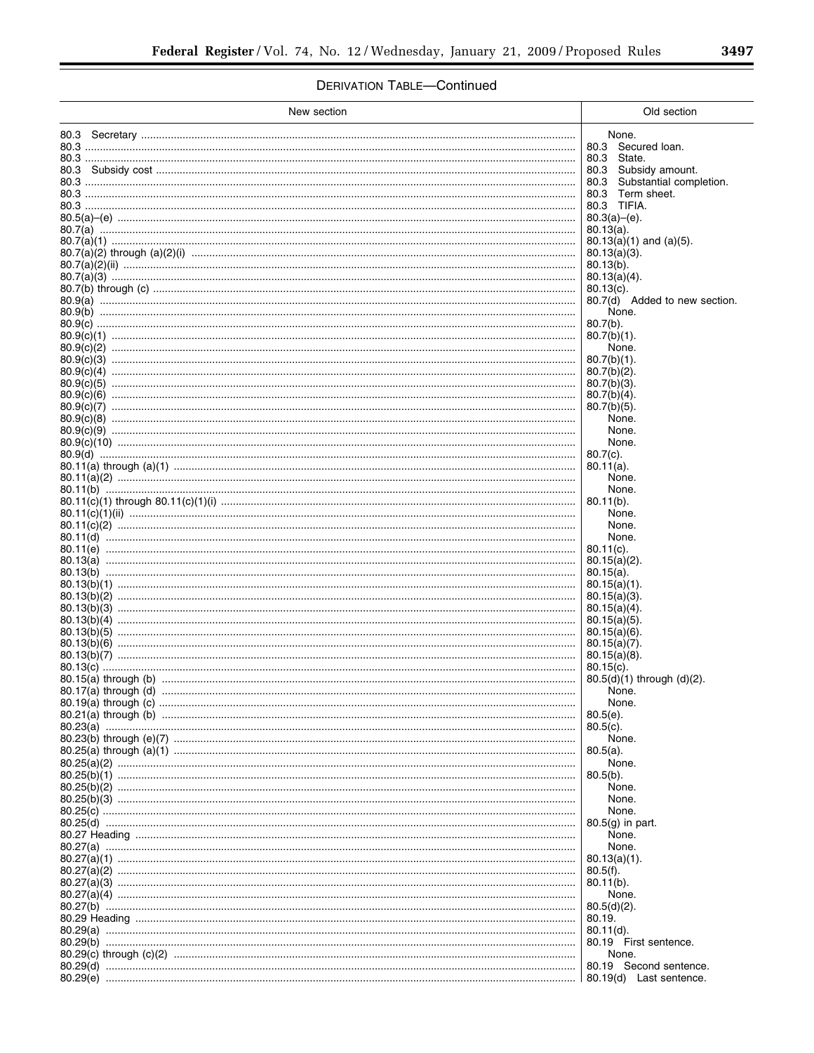# **DERIVATION TABLE-Continued**

| New section | Old section                                            |
|-------------|--------------------------------------------------------|
|             | None.                                                  |
|             | 80.3 Secured Ioan.<br>80.3 State.                      |
|             | 80.3 Subsidy amount.                                   |
|             | 80.3<br>Substantial completion.<br>Term sheet.<br>80.3 |
|             | 80.3 TIFIA.                                            |
|             | $80.3(a)$ –(e).<br>$80.13(a)$ .                        |
|             | $80.13(a)(1)$ and $(a)(5)$ .                           |
|             | $80.13(a)(3)$ .<br>$80.13(b)$ .                        |
|             | $80.13(a)(4)$ .                                        |
|             | $80.13(c)$ .<br>80.7(d) Added to new section.          |
|             | None.                                                  |
|             | $80.7(b)$ .<br>$80.7(b)(1)$ .                          |
|             | None.                                                  |
|             | $80.7(b)(1)$ .<br>$80.7(b)(2)$ .                       |
|             | $80.7(b)(3)$ .<br>$80.7(b)(4)$ .                       |
|             | $80.7(b)(5)$ .                                         |
|             | None.<br>None.                                         |
|             | None.                                                  |
|             | $80.7(c)$ .<br>$80.11(a)$ .                            |
|             | None.                                                  |
|             | None.<br>$80.11(b)$ .                                  |
|             | None.                                                  |
|             | None.<br>None.                                         |
|             | $80.11(c)$ .                                           |
|             | $80.15(a)(2)$ .<br>$80.15(a)$ .                        |
|             | $80.15(a)(1)$ .                                        |
|             | $80.15(a)(3)$ .<br>$80.15(a)(4)$ .                     |
|             | $80.15(a)(5)$ .<br>$80.15(a)(6)$ .                     |
|             | $80.15(a)(7)$ .                                        |
|             | $80.15(a)(8)$ .<br>$80.15(c)$ .                        |
|             | $80.5(d)(1)$ through $(d)(2)$ .                        |
|             | None.<br>None.                                         |
|             | $80.5(e)$ .                                            |
|             | $80.5(c)$ .<br>None.                                   |
|             | $80.5(a)$ .                                            |
|             | None.<br>$80.5(b)$ .                                   |
|             | None.                                                  |
|             | None.<br>None.                                         |
|             | $80.5(q)$ in part.                                     |
|             | None.<br>None.                                         |
|             | $80.13(a)(1)$ .                                        |
|             | $80.5(f)$ .<br>$80.11(b)$ .                            |
|             | None.                                                  |
|             | $80.5(d)(2)$ .<br>80.19.                               |
|             | $80.11(d)$ .                                           |
|             | 80.19 First sentence.<br>None.                         |
|             | 80.19 Second sentence.                                 |
|             | 80.19(d) Last sentence.                                |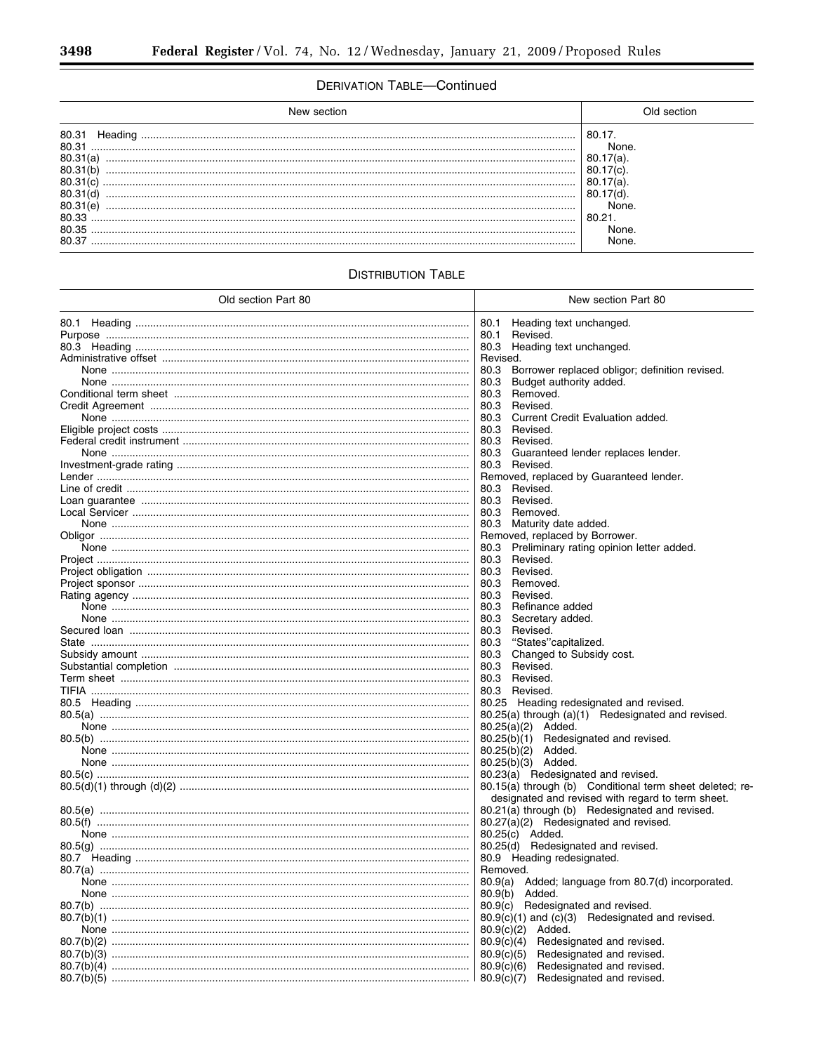# **DERIVATION TABLE-Continued**

| New section                                                                                          | ∩ld section                                                              |
|------------------------------------------------------------------------------------------------------|--------------------------------------------------------------------------|
| 80.31<br>Heading<br>80.31<br>80.31(a)<br>80.31<br>80.31<br>80.31<br>80.31<br>80.33<br>80.35<br>80.37 | 80.17<br>None.<br>80.<br>7(a)<br>80.<br>None.<br>80.21<br>None.<br>None. |

# **DISTRIBUTION TABLE**

| Old section Part 80                                       | New section Part 80                                      |
|-----------------------------------------------------------|----------------------------------------------------------|
|                                                           | Heading text unchanged.<br>80.1                          |
|                                                           | 80.1<br>Revised.                                         |
|                                                           | 80.3 Heading text unchanged.                             |
|                                                           | Revised.                                                 |
|                                                           | Borrower replaced obligor; definition revised.<br>80.3   |
|                                                           | Budget authority added.<br>80.3                          |
|                                                           | 80.3<br>Removed.                                         |
|                                                           | 80.3 Revised.                                            |
|                                                           | 80.3<br>Current Credit Evaluation added.                 |
|                                                           | 80.3<br>Revised.                                         |
|                                                           | 80.3 Revised.                                            |
|                                                           | 80.3 Guaranteed lender replaces lender.                  |
|                                                           | 80.3 Revised.                                            |
|                                                           | Removed, replaced by Guaranteed lender.                  |
|                                                           | 80.3<br>Revised.                                         |
|                                                           | 80.3 Revised.                                            |
|                                                           | 80.3 Removed.                                            |
|                                                           | 80.3 Maturity date added.                                |
|                                                           | Removed, replaced by Borrower.                           |
|                                                           | 80.3 Preliminary rating opinion letter added.            |
|                                                           | 80.3 Revised.                                            |
|                                                           | 80.3 Revised.                                            |
| Project sponsor ……………………………………………………………………………………………       | 80.3 Removed.                                            |
|                                                           | 80.3 Revised.                                            |
|                                                           | 80.3 Refinance added                                     |
|                                                           | 80.3<br>Secretary added.                                 |
|                                                           | 80.3 Revised.                                            |
|                                                           | "States"capitalized.<br>80.3                             |
|                                                           | Changed to Subsidy cost.<br>80.3                         |
|                                                           | 80.3<br>Revised.                                         |
|                                                           | 80.3 Revised.                                            |
|                                                           | 80.3 Revised.                                            |
|                                                           | 80.25 Heading redesignated and revised.                  |
|                                                           | 80.25(a) through (a)(1) Redesignated and revised.        |
|                                                           | $80.25(a)(2)$ Added.                                     |
|                                                           | Redesignated and revised.<br>80.25(b)(1)                 |
|                                                           | $80.25(b)(2)$ Added.                                     |
|                                                           | 80.25(b)(3) Added.                                       |
|                                                           | 80.23(a) Redesignated and revised.                       |
| 80.5(d)(1) through (d)(2) ………………………………………………………………………………… | 80.15(a) through (b) Conditional term sheet deleted; re- |
|                                                           | designated and revised with regard to term sheet.        |
|                                                           | 80.21(a) through (b) Redesignated and revised.           |
|                                                           | 80.27(a)(2) Redesignated and revised.                    |
|                                                           | 80.25(c) Added.                                          |
|                                                           | 80.25(d) Redesignated and revised.                       |
|                                                           | 80.9 Heading redesignated.                               |
|                                                           | Removed.                                                 |
|                                                           | 80.9(a) Added; language from 80.7(d) incorporated.       |
|                                                           | 80.9(b) Added.                                           |
|                                                           | 80.9(c)<br>Redesignated and revised.                     |
|                                                           | $80.9(c)(1)$ and $(c)(3)$ Redesignated and revised.      |
|                                                           | 80.9(c)(2)<br>Added.                                     |
|                                                           | 80.9(c)(4)<br>Redesignated and revised.                  |
|                                                           | 80.9(c)(5)<br>Redesignated and revised.                  |
|                                                           | 80.9(c)(6)<br>Redesignated and revised.                  |
|                                                           | Redesignated and revised.<br>80.9(c)(7)                  |
|                                                           |                                                          |

Ξ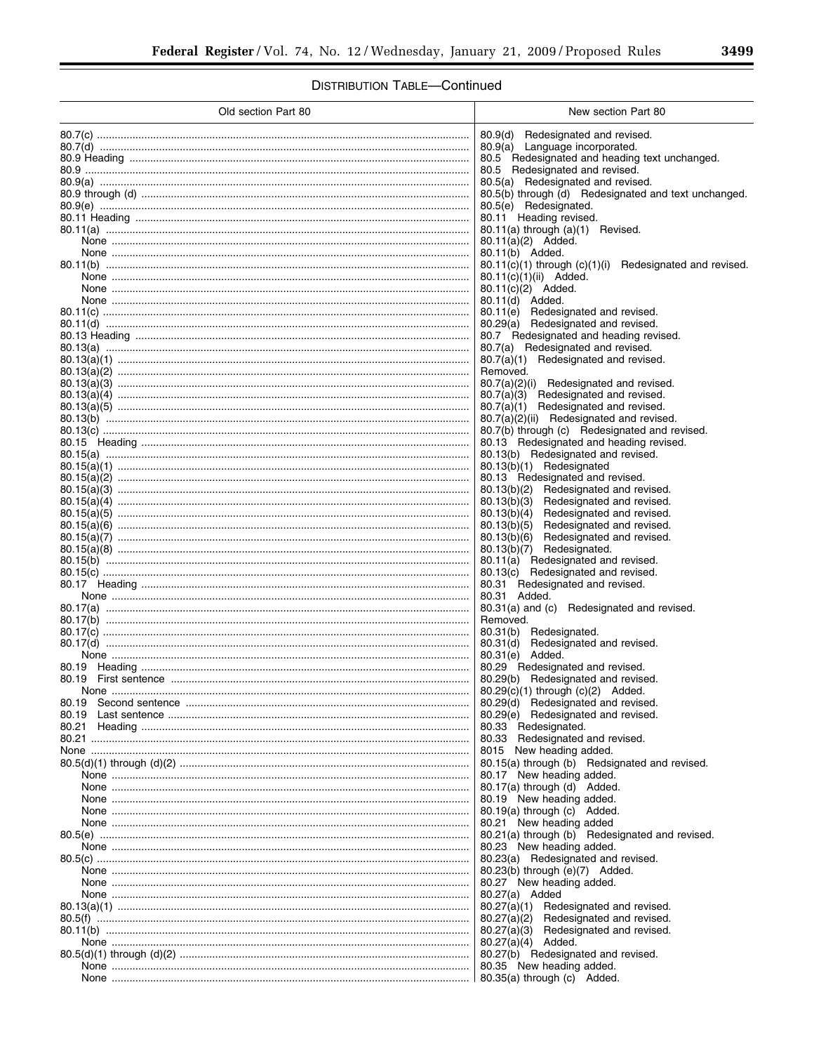# **DISTRIBUTION TABLE-Continued**

| Old section Part 80                                                | New section Part 80                                                                                                                                                                           |
|--------------------------------------------------------------------|-----------------------------------------------------------------------------------------------------------------------------------------------------------------------------------------------|
|                                                                    | 80.9(d)<br>Redesignated and revised.<br>80.9(a) Language incorporated.<br>80.5 Redesignated and heading text unchanged.<br>80.5 Redesignated and revised.                                     |
|                                                                    | 80.5(a) Redesignated and revised.<br>80.5(b) through (d) Redesignated and text unchanged.<br>80.5(e) Redesignated.<br>80.11 Heading revised.                                                  |
|                                                                    | 80.11(a) through (a)(1) Revised.<br>80.11(a)(2) Added.<br>80.11(b) Added.<br>80.11(c)(1) through (c)(1)(i) Redesignated and revised.                                                          |
|                                                                    | 80.11(c)(1)(ii) Added.<br>80.11(c)(2) Added.<br>80.11(d) Added.<br>80.11(e) Redesignated and revised.                                                                                         |
|                                                                    | Redesignated and revised.<br>80.29(a)<br>80.7 Redesignated and heading revised.<br>80.7(a) Redesignated and revised.<br>80.7(a)(1) Redesignated and revised.<br>Removed.                      |
|                                                                    | 80.7(a)(2)(i) Redesignated and revised.<br>80.7(a)(3) Redesignated and revised.<br>80.7(a)(1) Redesignated and revised.<br>80.7(a)(2)(ii) Redesignated and revised.                           |
|                                                                    | 80.7(b) through (c) Redesignated and revised.<br>80.13 Redesignated and heading revised.<br>80.13(b) Redesignated and revised.<br>80.13(b)(1) Redesignated                                    |
|                                                                    | 80.13 Redesignated and revised.<br>80.13(b)(2) Redesignated and revised.<br>80.13(b)(3)<br>Redesignated and revised.<br>80.13(b)(4)<br>Redesignated and revised.                              |
|                                                                    | Redesignated and revised.<br>80.13(b)(5)<br>80.13(b)(6)<br>Redesignated and revised.<br>80.13(b)(7) Redesignated.<br>80.11(a) Redesignated and revised.<br>80.13(c) Redesignated and revised. |
|                                                                    | 80.31 Redesignated and revised.<br>80.31 Added.<br>80.31(a) and (c) Redesignated and revised.<br>Removed.                                                                                     |
| 80.19 Heading ……………………………………………………………………………………………                  | 80.31(b)<br>Redesignated.<br>Redesignated and revised.<br>80.31(d)<br>80.29 Redesignated and revised.                                                                                         |
| 80.19<br>80.19                                                     | 80.29(c)(1) through (c)(2) Added.<br>80.29(d) Redesignated and revised.<br>80.29(e)<br>Redesignated and revised.                                                                              |
| 80.21<br>80.5(d)(1) through (d)(2) ………………………………………………………………………………… | 80.33 Redesignated.<br>80.33 Redesignated and revised.<br>8015 New heading added.<br>80.15(a) through (b) Redsignated and revised.                                                            |
|                                                                    | 80.17 New heading added.<br>80.17(a) through (d) Added.<br>80.19 New heading added.<br>80.19(a) through (c) Added.<br>80.21 New heading added                                                 |
|                                                                    | 80.21(a) through (b) Redesignated and revised.<br>80.23 New heading added.<br>80.23(a) Redesignated and revised.                                                                              |
|                                                                    | $80.23(b)$ through $(e)(7)$ Added.<br>80.27 New heading added.<br>80.27(a) Added<br>80.27(a)(1)<br>Redesignated and revised.                                                                  |
| 80.5(d)(1) through (d)(2) …………………………………………………………………………………          | 80.27(a)(2)<br>Redesignated and revised.<br>80.27(a)(3)<br>Redesignated and revised.<br>$80.27(a)(4)$ Added.<br>80.27(b) Redesignated and revised.                                            |
|                                                                    | 80.35 New heading added.<br>80.35(a) through (c) Added.                                                                                                                                       |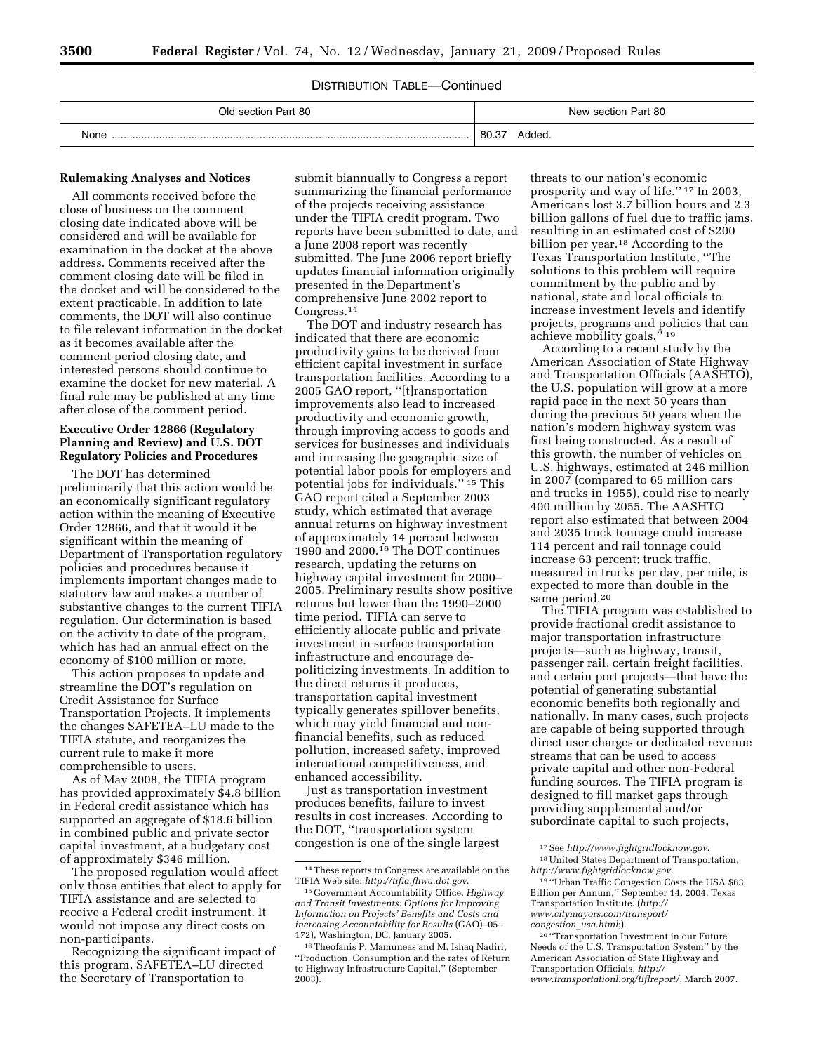# DISTRIBUTION TABLE—Continued

| Old section Part 80 | New section Part 80 |
|---------------------|---------------------|
| None                | 80.3                |
|                     | Added.              |

## **Rulemaking Analyses and Notices**

All comments received before the close of business on the comment closing date indicated above will be considered and will be available for examination in the docket at the above address. Comments received after the comment closing date will be filed in the docket and will be considered to the extent practicable. In addition to late comments, the DOT will also continue to file relevant information in the docket as it becomes available after the comment period closing date, and interested persons should continue to examine the docket for new material. A final rule may be published at any time after close of the comment period.

## **Executive Order 12866 (Regulatory Planning and Review) and U.S. DOT Regulatory Policies and Procedures**

The DOT has determined preliminarily that this action would be an economically significant regulatory action within the meaning of Executive Order 12866, and that it would it be significant within the meaning of Department of Transportation regulatory policies and procedures because it implements important changes made to statutory law and makes a number of substantive changes to the current TIFIA regulation. Our determination is based on the activity to date of the program, which has had an annual effect on the economy of \$100 million or more.

This action proposes to update and streamline the DOT's regulation on Credit Assistance for Surface Transportation Projects. It implements the changes SAFETEA–LU made to the TIFIA statute, and reorganizes the current rule to make it more comprehensible to users.

As of May 2008, the TIFIA program has provided approximately \$4.8 billion in Federal credit assistance which has supported an aggregate of \$18.6 billion in combined public and private sector capital investment, at a budgetary cost of approximately \$346 million.

The proposed regulation would affect only those entities that elect to apply for TIFIA assistance and are selected to receive a Federal credit instrument. It would not impose any direct costs on non-participants.

Recognizing the significant impact of this program, SAFETEA–LU directed the Secretary of Transportation to

submit biannually to Congress a report summarizing the financial performance of the projects receiving assistance under the TIFIA credit program. Two reports have been submitted to date, and a June 2008 report was recently submitted. The June 2006 report briefly updates financial information originally presented in the Department's comprehensive June 2002 report to Congress.14

The DOT and industry research has indicated that there are economic productivity gains to be derived from efficient capital investment in surface transportation facilities. According to a 2005 GAO report, ''[t]ransportation improvements also lead to increased productivity and economic growth, through improving access to goods and services for businesses and individuals and increasing the geographic size of potential labor pools for employers and potential jobs for individuals.'' 15 This GAO report cited a September 2003 study, which estimated that average annual returns on highway investment of approximately 14 percent between 1990 and 2000.16 The DOT continues research, updating the returns on highway capital investment for 2000– 2005. Preliminary results show positive returns but lower than the 1990–2000 time period. TIFIA can serve to efficiently allocate public and private investment in surface transportation infrastructure and encourage depoliticizing investments. In addition to the direct returns it produces, transportation capital investment typically generates spillover benefits, which may yield financial and nonfinancial benefits, such as reduced pollution, increased safety, improved international competitiveness, and enhanced accessibility.

Just as transportation investment produces benefits, failure to invest results in cost increases. According to the DOT, ''transportation system congestion is one of the single largest

threats to our nation's economic prosperity and way of life.'' 17 In 2003, Americans lost 3.7 billion hours and 2.3 billion gallons of fuel due to traffic jams, resulting in an estimated cost of \$200 billion per year.18 According to the Texas Transportation Institute, ''The solutions to this problem will require commitment by the public and by national, state and local officials to increase investment levels and identify projects, programs and policies that can achieve mobility goals."<sup>19</sup>

According to a recent study by the American Association of State Highway and Transportation Officials (AASHTO), the U.S. population will grow at a more rapid pace in the next 50 years than during the previous 50 years when the nation's modern highway system was first being constructed. As a result of this growth, the number of vehicles on U.S. highways, estimated at 246 million in 2007 (compared to 65 million cars and trucks in 1955), could rise to nearly 400 million by 2055. The AASHTO report also estimated that between 2004 and 2035 truck tonnage could increase 114 percent and rail tonnage could increase 63 percent; truck traffic, measured in trucks per day, per mile, is expected to more than double in the same period.20

The TIFIA program was established to provide fractional credit assistance to major transportation infrastructure projects—such as highway, transit, passenger rail, certain freight facilities, and certain port projects—that have the potential of generating substantial economic benefits both regionally and nationally. In many cases, such projects are capable of being supported through direct user charges or dedicated revenue streams that can be used to access private capital and other non-Federal funding sources. The TIFIA program is designed to fill market gaps through providing supplemental and/or subordinate capital to such projects,

<sup>14</sup>These reports to Congress are available on the TIFIA Web site: *http://tifia.fhwa.dot.gov*.

<sup>15</sup> Government Accountability Office, *Highway and Transit Investments: Options for Improving Information on Projects' Benefits and Costs and increasing Accountability for Results* (GAO)–05– 172), Washington, DC, January 2005.

<sup>16</sup>Theofanis P. Mamuneas and M. Ishaq Nadiri, ''Production, Consumption and the rates of Return to Highway Infrastructure Capital,'' (September 2003).

<sup>17</sup>See *http://www.fightgridlocknow.gov*. 18United States Department of Transportation, *http://www.fightgridlocknow.gov*.

<sup>19</sup> ''Urban Traffic Congestion Costs the USA \$63 Billion per Annum,'' September 14, 2004, Texas Transportation Institute. (*http:// www.citymayors.com/transport/ congestion*\_*usa.html*;).

<sup>20</sup> ''Transportation Investment in our Future Needs of the U.S. Transportation System'' by the American Association of State Highway and Transportation Officials, *http:// www.transportationl.org/tiflreport/*, March 2007.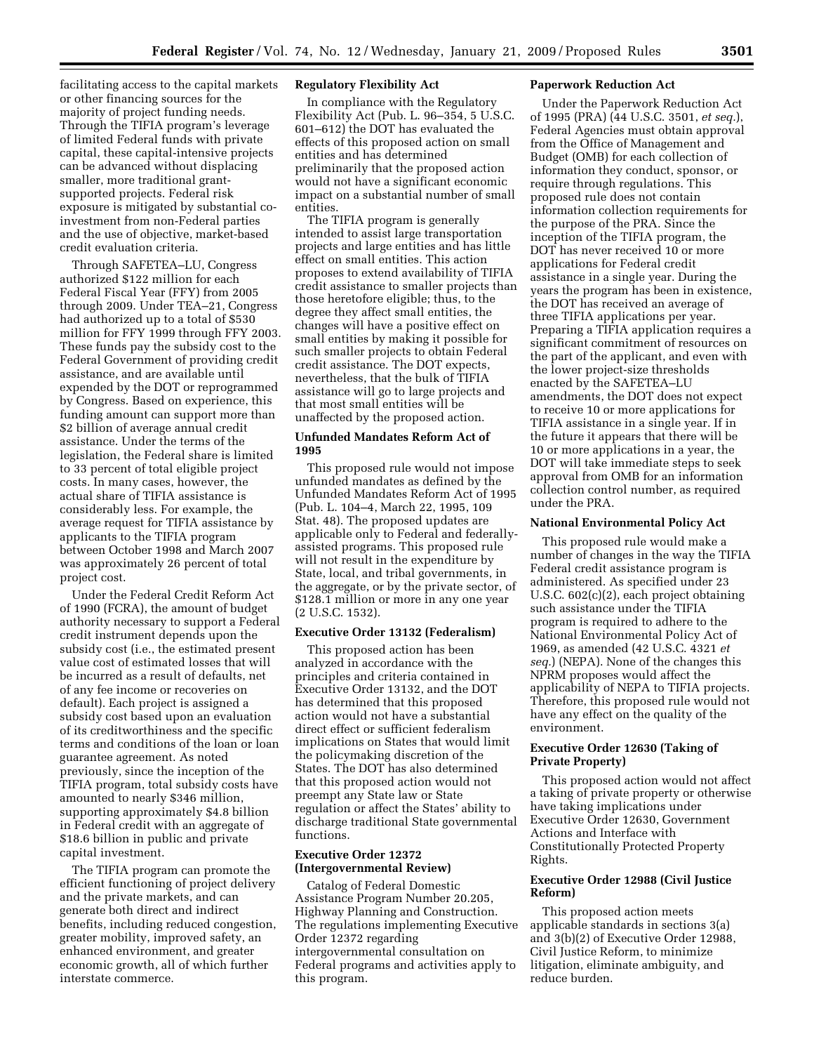facilitating access to the capital markets or other financing sources for the majority of project funding needs. Through the TIFIA program's leverage of limited Federal funds with private capital, these capital-intensive projects can be advanced without displacing smaller, more traditional grantsupported projects. Federal risk exposure is mitigated by substantial coinvestment from non-Federal parties and the use of objective, market-based credit evaluation criteria.

Through SAFETEA–LU, Congress authorized \$122 million for each Federal Fiscal Year (FFY) from 2005 through 2009. Under TEA–21, Congress had authorized up to a total of \$530 million for FFY 1999 through FFY 2003. These funds pay the subsidy cost to the Federal Government of providing credit assistance, and are available until expended by the DOT or reprogrammed by Congress. Based on experience, this funding amount can support more than \$2 billion of average annual credit assistance. Under the terms of the legislation, the Federal share is limited to 33 percent of total eligible project costs. In many cases, however, the actual share of TIFIA assistance is considerably less. For example, the average request for TIFIA assistance by applicants to the TIFIA program between October 1998 and March 2007 was approximately 26 percent of total project cost.

Under the Federal Credit Reform Act of 1990 (FCRA), the amount of budget authority necessary to support a Federal credit instrument depends upon the subsidy cost (i.e., the estimated present value cost of estimated losses that will be incurred as a result of defaults, net of any fee income or recoveries on default). Each project is assigned a subsidy cost based upon an evaluation of its creditworthiness and the specific terms and conditions of the loan or loan guarantee agreement. As noted previously, since the inception of the TIFIA program, total subsidy costs have amounted to nearly \$346 million, supporting approximately \$4.8 billion in Federal credit with an aggregate of \$18.6 billion in public and private capital investment.

The TIFIA program can promote the efficient functioning of project delivery and the private markets, and can generate both direct and indirect benefits, including reduced congestion, greater mobility, improved safety, an enhanced environment, and greater economic growth, all of which further interstate commerce.

# **Regulatory Flexibility Act**

In compliance with the Regulatory Flexibility Act (Pub. L. 96–354, 5 U.S.C. 601–612) the DOT has evaluated the effects of this proposed action on small entities and has determined preliminarily that the proposed action would not have a significant economic impact on a substantial number of small entities.

The TIFIA program is generally intended to assist large transportation projects and large entities and has little effect on small entities. This action proposes to extend availability of TIFIA credit assistance to smaller projects than those heretofore eligible; thus, to the degree they affect small entities, the changes will have a positive effect on small entities by making it possible for such smaller projects to obtain Federal credit assistance. The DOT expects, nevertheless, that the bulk of TIFIA assistance will go to large projects and that most small entities will be unaffected by the proposed action.

#### **Unfunded Mandates Reform Act of 1995**

This proposed rule would not impose unfunded mandates as defined by the Unfunded Mandates Reform Act of 1995 (Pub. L. 104–4, March 22, 1995, 109 Stat. 48). The proposed updates are applicable only to Federal and federallyassisted programs. This proposed rule will not result in the expenditure by State, local, and tribal governments, in the aggregate, or by the private sector, of \$128.1 million or more in any one year (2 U.S.C. 1532).

## **Executive Order 13132 (Federalism)**

This proposed action has been analyzed in accordance with the principles and criteria contained in Executive Order 13132, and the DOT has determined that this proposed action would not have a substantial direct effect or sufficient federalism implications on States that would limit the policymaking discretion of the States. The DOT has also determined that this proposed action would not preempt any State law or State regulation or affect the States' ability to discharge traditional State governmental functions.

# **Executive Order 12372 (Intergovernmental Review)**

Catalog of Federal Domestic Assistance Program Number 20.205, Highway Planning and Construction. The regulations implementing Executive Order 12372 regarding intergovernmental consultation on Federal programs and activities apply to this program.

#### **Paperwork Reduction Act**

Under the Paperwork Reduction Act of 1995 (PRA) (44 U.S.C. 3501, *et seq.*), Federal Agencies must obtain approval from the Office of Management and Budget (OMB) for each collection of information they conduct, sponsor, or require through regulations. This proposed rule does not contain information collection requirements for the purpose of the PRA. Since the inception of the TIFIA program, the DOT has never received 10 or more applications for Federal credit assistance in a single year. During the years the program has been in existence, the DOT has received an average of three TIFIA applications per year. Preparing a TIFIA application requires a significant commitment of resources on the part of the applicant, and even with the lower project-size thresholds enacted by the SAFETEA–LU amendments, the DOT does not expect to receive 10 or more applications for TIFIA assistance in a single year. If in the future it appears that there will be 10 or more applications in a year, the DOT will take immediate steps to seek approval from OMB for an information collection control number, as required under the PRA.

#### **National Environmental Policy Act**

This proposed rule would make a number of changes in the way the TIFIA Federal credit assistance program is administered. As specified under 23 U.S.C. 602(c)(2), each project obtaining such assistance under the TIFIA program is required to adhere to the National Environmental Policy Act of 1969, as amended (42 U.S.C. 4321 *et seq.*) (NEPA). None of the changes this NPRM proposes would affect the applicability of NEPA to TIFIA projects. Therefore, this proposed rule would not have any effect on the quality of the environment.

#### **Executive Order 12630 (Taking of Private Property)**

This proposed action would not affect a taking of private property or otherwise have taking implications under Executive Order 12630, Government Actions and Interface with Constitutionally Protected Property Rights.

#### **Executive Order 12988 (Civil Justice Reform)**

This proposed action meets applicable standards in sections 3(a) and 3(b)(2) of Executive Order 12988, Civil Justice Reform, to minimize litigation, eliminate ambiguity, and reduce burden.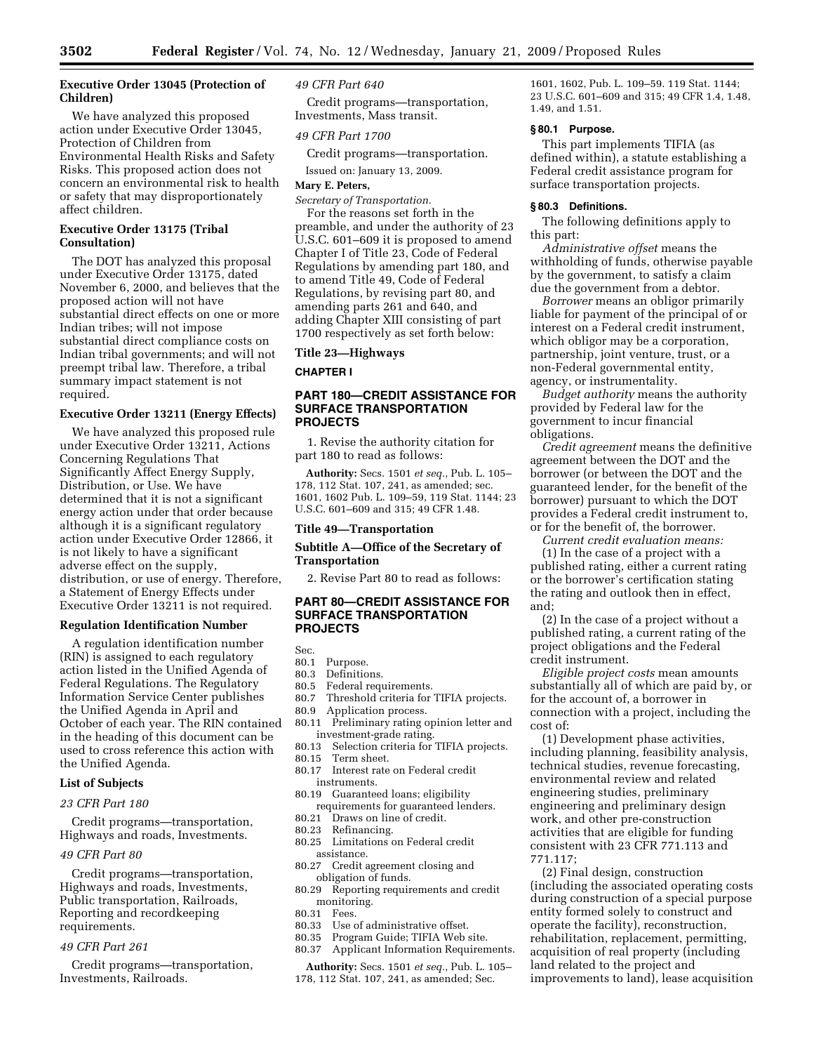## **Executive Order 13045 (Protection of Children)**

We have analyzed this proposed action under Executive Order 13045, Protection of Children from Environmental Health Risks and Safety Risks. This proposed action does not concern an environmental risk to health or safety that may disproportionately affect children.

## **Executive Order 13175 (Tribal Consultation)**

The DOT has analyzed this proposal under Executive Order 13175, dated November 6, 2000, and believes that the proposed action will not have substantial direct effects on one or more Indian tribes; will not impose substantial direct compliance costs on Indian tribal governments; and will not preempt tribal law. Therefore, a tribal summary impact statement is not required.

#### **Executive Order 13211 (Energy Effects)**

We have analyzed this proposed rule under Executive Order 13211, Actions Concerning Regulations That Significantly Affect Energy Supply, Distribution, or Use. We have determined that it is not a significant energy action under that order because although it is a significant regulatory action under Executive Order 12866, it is not likely to have a significant adverse effect on the supply, distribution, or use of energy. Therefore, a Statement of Energy Effects under Executive Order 13211 is not required.

## **Regulation Identification Number**

A regulation identification number (RIN) is assigned to each regulatory action listed in the Unified Agenda of Federal Regulations. The Regulatory Information Service Center publishes the Unified Agenda in April and October of each year. The RIN contained in the heading of this document can be used to cross reference this action with the Unified Agenda.

#### **List of Subjects**

#### *23 CFR Part 180*

Credit programs—transportation, Highways and roads, Investments.

## *49 CFR Part 80*

Credit programs—transportation, Highways and roads, Investments, Public transportation, Railroads, Reporting and recordkeeping requirements.

#### *49 CFR Part 261*

Credit programs—transportation, Investments, Railroads.

### *49 CFR Part 640*

Credit programs—transportation, Investments, Mass transit.

## *49 CFR Part 1700*

Credit programs—transportation.

Issued on: January 13, 2009.

#### **Mary E. Peters,**

*Secretary of Transportation.*  For the reasons set forth in the preamble, and under the authority of 23 U.S.C. 601–609 it is proposed to amend Chapter I of Title 23, Code of Federal Regulations by amending part 180, and to amend Title 49, Code of Federal Regulations, by revising part 80, and amending parts 261 and 640, and adding Chapter XIII consisting of part 1700 respectively as set forth below:

#### **Title 23—Highways**

**CHAPTER I** 

## **PART 180—CREDIT ASSISTANCE FOR SURFACE TRANSPORTATION PROJECTS**

1. Revise the authority citation for part 180 to read as follows:

**Authority:** Secs. 1501 *et seq.*, Pub. L. 105– 178, 112 Stat. 107, 241, as amended; sec. 1601, 1602 Pub. L. 109–59, 119 Stat. 1144; 23 U.S.C. 601–609 and 315; 49 CFR 1.48.

#### **Title 49—Transportation**

## **Subtitle A—Office of the Secretary of Transportation**

2. Revise Part 80 to read as follows:

# **PART 80—CREDIT ASSISTANCE FOR SURFACE TRANSPORTATION PROJECTS**

Sec.

#### 80.1 Purpose.

- 80.3 Definitions.
- 80.5 Federal requirements.
- 80.7 Threshold criteria for TIFIA projects.<br>80.9 Application process.
- Application process.
- 80.11 Preliminary rating opinion letter and investment-grade rating.
- 80.13 Selection criteria for TIFIA projects.<br>80.15 Term sheet.
- Term sheet.
- 80.17 Interest rate on Federal credit
- instruments. 80.19 Guaranteed loans; eligibility
- requirements for guaranteed lenders.<br>80.21 Draws on line of credit. Draws on line of credit.
- 80.23 Refinancing.
- 
- 80.25 Limitations on Federal credit assistance.<br>80.27 Credit a
- Credit agreement closing and obligation of funds.
- 80.29 Reporting requirements and credit monitoring.
- 80.31 Fees.
- 80.33 Use of administrative offset. 80.35 Program Guide; TIFIA Web site.
- 80.37 Applicant Information Requirements.

**Authority:** Secs. 1501 *et seq.*, Pub. L. 105– 178, 112 Stat. 107, 241, as amended; Sec.

1601, 1602, Pub. L. 109–59. 119 Stat. 1144; 23 U.S.C. 601–609 and 315; 49 CFR 1.4, 1.48, 1.49, and 1.51.

## **§ 80.1 Purpose.**

This part implements TIFIA (as defined within), a statute establishing a Federal credit assistance program for surface transportation projects.

#### **§ 80.3 Definitions.**

The following definitions apply to this part:

*Administrative offset* means the withholding of funds, otherwise payable by the government, to satisfy a claim due the government from a debtor.

*Borrower* means an obligor primarily liable for payment of the principal of or interest on a Federal credit instrument, which obligor may be a corporation, partnership, joint venture, trust, or a non-Federal governmental entity, agency, or instrumentality.

*Budget authority* means the authority provided by Federal law for the government to incur financial obligations.

*Credit agreement* means the definitive agreement between the DOT and the borrower (or between the DOT and the guaranteed lender, for the benefit of the borrower) pursuant to which the DOT provides a Federal credit instrument to, or for the benefit of, the borrower.

*Current credit evaluation means:* 

(1) In the case of a project with a published rating, either a current rating or the borrower's certification stating the rating and outlook then in effect, and;

(2) In the case of a project without a published rating, a current rating of the project obligations and the Federal credit instrument.

*Eligible project costs* mean amounts substantially all of which are paid by, or for the account of, a borrower in connection with a project, including the cost of:

(1) Development phase activities, including planning, feasibility analysis, technical studies, revenue forecasting, environmental review and related engineering studies, preliminary engineering and preliminary design work, and other pre-construction activities that are eligible for funding consistent with 23 CFR 771.113 and 771.117;

(2) Final design, construction (including the associated operating costs during construction of a special purpose entity formed solely to construct and operate the facility), reconstruction, rehabilitation, replacement, permitting, acquisition of real property (including land related to the project and improvements to land), lease acquisition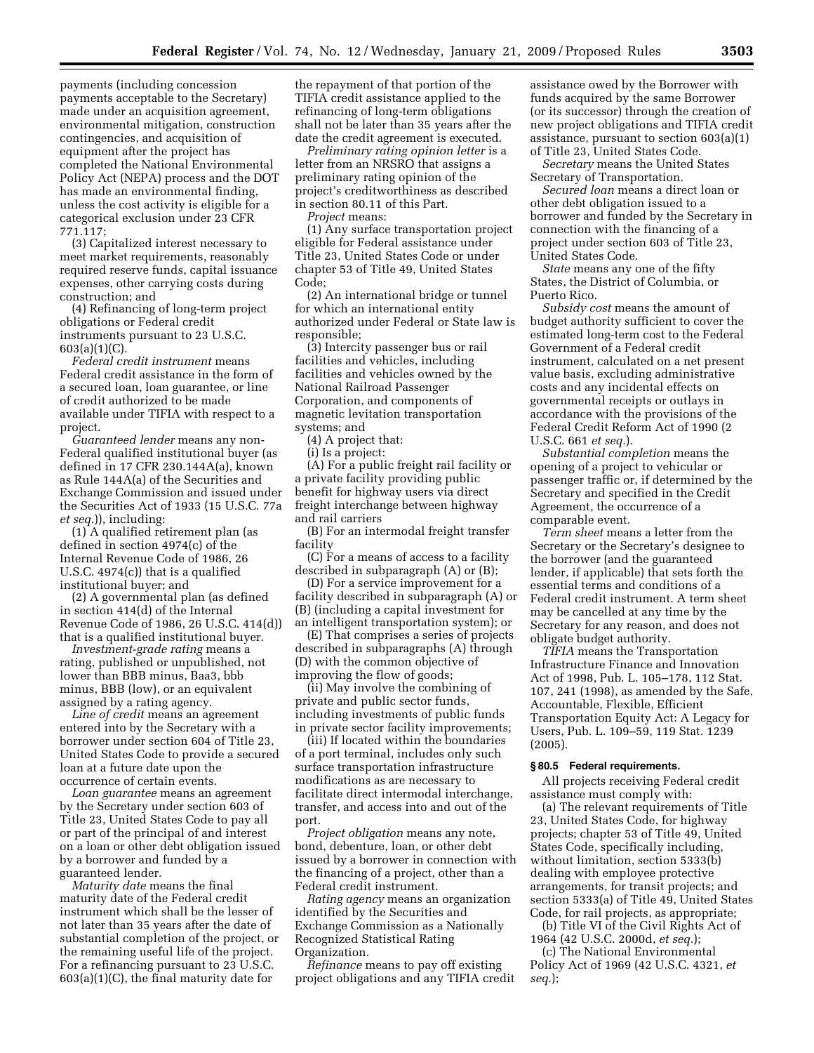payments (including concession payments acceptable to the Secretary) made under an acquisition agreement, environmental mitigation, construction contingencies, and acquisition of equipment after the project has completed the National Environmental Policy Act (NEPA) process and the DOT has made an environmental finding, unless the cost activity is eligible for a categorical exclusion under 23 CFR 771.117;

(3) Capitalized interest necessary to meet market requirements, reasonably required reserve funds, capital issuance expenses, other carrying costs during construction; and

(4) Refinancing of long-term project obligations or Federal credit instruments pursuant to 23 U.S.C. 603(a)(1)(C).

*Federal credit instrument* means Federal credit assistance in the form of a secured loan, loan guarantee, or line of credit authorized to be made available under TIFIA with respect to a project.

*Guaranteed lender* means any non-Federal qualified institutional buyer (as defined in 17 CFR 230.144A(a), known as Rule 144A(a) of the Securities and Exchange Commission and issued under the Securities Act of 1933 (15 U.S.C. 77a *et seq.*)), including:

(1) A qualified retirement plan (as defined in section 4974(c) of the Internal Revenue Code of 1986, 26 U.S.C. 4974(c)) that is a qualified institutional buyer; and

(2) A governmental plan (as defined in section 414(d) of the Internal Revenue Code of 1986, 26 U.S.C. 414(d)) that is a qualified institutional buyer.

*Investment-grade rating* means a rating, published or unpublished, not lower than BBB minus, Baa3, bbb minus, BBB (low), or an equivalent assigned by a rating agency.

*Line of credit* means an agreement entered into by the Secretary with a borrower under section 604 of Title 23, United States Code to provide a secured loan at a future date upon the occurrence of certain events.

*Loan guarantee* means an agreement by the Secretary under section 603 of Title 23, United States Code to pay all or part of the principal of and interest on a loan or other debt obligation issued by a borrower and funded by a guaranteed lender.

*Maturity date* means the final maturity date of the Federal credit instrument which shall be the lesser of not later than 35 years after the date of substantial completion of the project, or the remaining useful life of the project. For a refinancing pursuant to 23 U.S.C. 603(a)(1)(C), the final maturity date for

the repayment of that portion of the TIFIA credit assistance applied to the refinancing of long-term obligations shall not be later than 35 years after the date the credit agreement is executed.

*Preliminary rating opinion letter* is a letter from an NRSRO that assigns a preliminary rating opinion of the project's creditworthiness as described in section 80.11 of this Part.

*Project* means:

(1) Any surface transportation project eligible for Federal assistance under Title 23, United States Code or under chapter 53 of Title 49, United States Code;

(2) An international bridge or tunnel for which an international entity authorized under Federal or State law is responsible;

(3) Intercity passenger bus or rail facilities and vehicles, including facilities and vehicles owned by the National Railroad Passenger Corporation, and components of magnetic levitation transportation systems; and

(4) A project that:

(i) Is a project:

(A) For a public freight rail facility or a private facility providing public benefit for highway users via direct freight interchange between highway and rail carriers

(B) For an intermodal freight transfer facility

(C) For a means of access to a facility described in subparagraph (A) or (B);

(D) For a service improvement for a facility described in subparagraph (A) or (B) (including a capital investment for an intelligent transportation system); or

(E) That comprises a series of projects described in subparagraphs (A) through (D) with the common objective of improving the flow of goods;

(ii) May involve the combining of private and public sector funds, including investments of public funds in private sector facility improvements;

(iii) If located within the boundaries of a port terminal, includes only such surface transportation infrastructure modifications as are necessary to facilitate direct intermodal interchange, transfer, and access into and out of the port.

*Project obligation* means any note, bond, debenture, loan, or other debt issued by a borrower in connection with the financing of a project, other than a Federal credit instrument.

*Rating agency* means an organization identified by the Securities and Exchange Commission as a Nationally Recognized Statistical Rating Organization.

*Refinance* means to pay off existing project obligations and any TIFIA credit

assistance owed by the Borrower with funds acquired by the same Borrower (or its successor) through the creation of new project obligations and TIFIA credit assistance, pursuant to section 603(a)(1) of Title 23, United States Code.

*Secretary* means the United States Secretary of Transportation.

*Secured loan* means a direct loan or other debt obligation issued to a borrower and funded by the Secretary in connection with the financing of a project under section 603 of Title 23, United States Code.

*State* means any one of the fifty States, the District of Columbia, or Puerto Rico.

*Subsidy cost* means the amount of budget authority sufficient to cover the estimated long-term cost to the Federal Government of a Federal credit instrument, calculated on a net present value basis, excluding administrative costs and any incidental effects on governmental receipts or outlays in accordance with the provisions of the Federal Credit Reform Act of 1990 (2 U.S.C. 661 *et seq.*).

*Substantial completion* means the opening of a project to vehicular or passenger traffic or, if determined by the Secretary and specified in the Credit Agreement, the occurrence of a comparable event.

*Term sheet* means a letter from the Secretary or the Secretary's designee to the borrower (and the guaranteed lender, if applicable) that sets forth the essential terms and conditions of a Federal credit instrument. A term sheet may be cancelled at any time by the Secretary for any reason, and does not obligate budget authority.

*TIFIA* means the Transportation Infrastructure Finance and Innovation Act of 1998, Pub. L. 105–178, 112 Stat. 107, 241 (1998), as amended by the Safe, Accountable, Flexible, Efficient Transportation Equity Act: A Legacy for Users, Pub. L. 109–59, 119 Stat. 1239 (2005).

## **§ 80.5 Federal requirements.**

All projects receiving Federal credit assistance must comply with:

(a) The relevant requirements of Title 23, United States Code, for highway projects; chapter 53 of Title 49, United States Code, specifically including, without limitation, section 5333(b) dealing with employee protective arrangements, for transit projects; and section 5333(a) of Title 49, United States Code, for rail projects, as appropriate;

(b) Title VI of the Civil Rights Act of 1964 (42 U.S.C. 2000d, *et seq.*);

(c) The National Environmental Policy Act of 1969 (42 U.S.C. 4321, *et seq.*);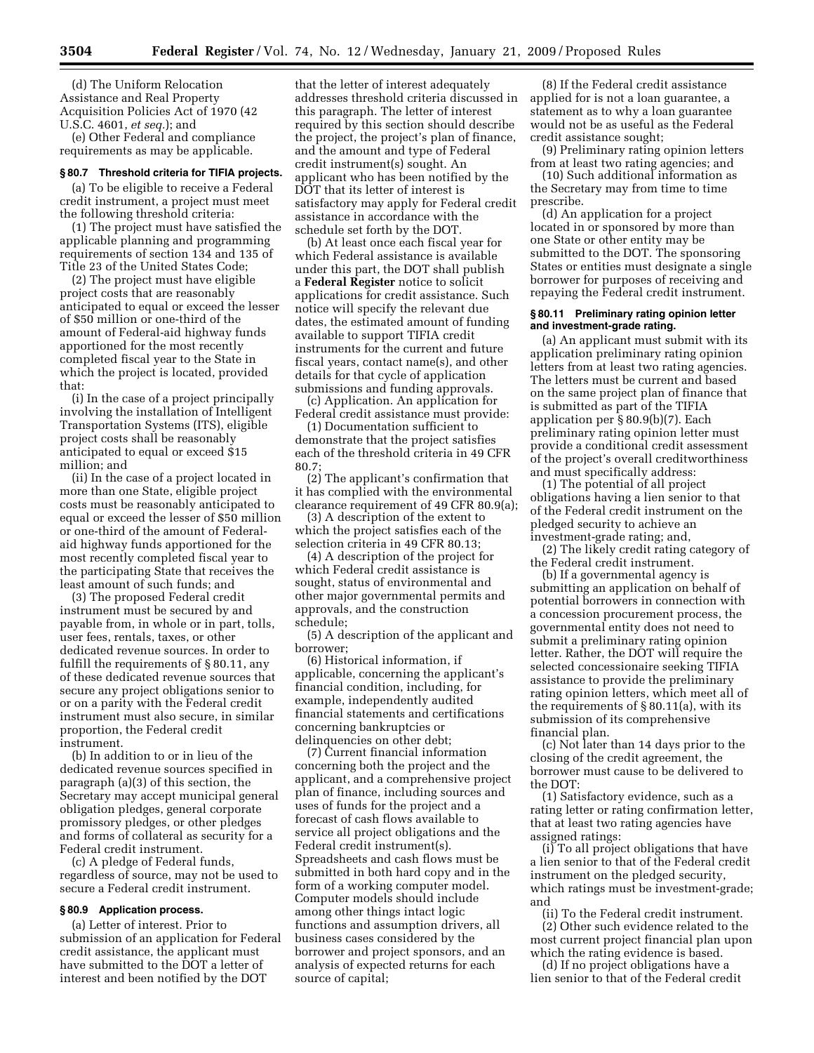(d) The Uniform Relocation Assistance and Real Property Acquisition Policies Act of 1970 (42 U.S.C. 4601, *et seq.*); and

(e) Other Federal and compliance requirements as may be applicable.

# **§ 80.7 Threshold criteria for TIFIA projects.**

(a) To be eligible to receive a Federal credit instrument, a project must meet the following threshold criteria:

(1) The project must have satisfied the applicable planning and programming requirements of section 134 and 135 of Title 23 of the United States Code;

(2) The project must have eligible project costs that are reasonably anticipated to equal or exceed the lesser of \$50 million or one-third of the amount of Federal-aid highway funds apportioned for the most recently completed fiscal year to the State in which the project is located, provided that:

(i) In the case of a project principally involving the installation of Intelligent Transportation Systems (ITS), eligible project costs shall be reasonably anticipated to equal or exceed \$15 million; and

(ii) In the case of a project located in more than one State, eligible project costs must be reasonably anticipated to equal or exceed the lesser of \$50 million or one-third of the amount of Federalaid highway funds apportioned for the most recently completed fiscal year to the participating State that receives the least amount of such funds; and

(3) The proposed Federal credit instrument must be secured by and payable from, in whole or in part, tolls, user fees, rentals, taxes, or other dedicated revenue sources. In order to fulfill the requirements of § 80.11, any of these dedicated revenue sources that secure any project obligations senior to or on a parity with the Federal credit instrument must also secure, in similar proportion, the Federal credit instrument.

(b) In addition to or in lieu of the dedicated revenue sources specified in paragraph (a)(3) of this section, the Secretary may accept municipal general obligation pledges, general corporate promissory pledges, or other pledges and forms of collateral as security for a Federal credit instrument.

(c) A pledge of Federal funds, regardless of source, may not be used to secure a Federal credit instrument.

#### **§ 80.9 Application process.**

(a) Letter of interest. Prior to submission of an application for Federal credit assistance, the applicant must have submitted to the DOT a letter of interest and been notified by the DOT

that the letter of interest adequately addresses threshold criteria discussed in this paragraph. The letter of interest required by this section should describe the project, the project's plan of finance, and the amount and type of Federal credit instrument(s) sought. An applicant who has been notified by the DOT that its letter of interest is satisfactory may apply for Federal credit assistance in accordance with the schedule set forth by the DOT.

(b) At least once each fiscal year for which Federal assistance is available under this part, the DOT shall publish a **Federal Register** notice to solicit applications for credit assistance. Such notice will specify the relevant due dates, the estimated amount of funding available to support TIFIA credit instruments for the current and future fiscal years, contact name(s), and other details for that cycle of application submissions and funding approvals.

(c) Application. An application for Federal credit assistance must provide:

(1) Documentation sufficient to demonstrate that the project satisfies each of the threshold criteria in 49 CFR 80.7;

(2) The applicant's confirmation that it has complied with the environmental clearance requirement of 49 CFR 80.9(a);

(3) A description of the extent to which the project satisfies each of the selection criteria in 49 CFR 80.13;

(4) A description of the project for which Federal credit assistance is sought, status of environmental and other major governmental permits and approvals, and the construction schedule;

(5) A description of the applicant and borrower;

(6) Historical information, if applicable, concerning the applicant's financial condition, including, for example, independently audited financial statements and certifications concerning bankruptcies or delinquencies on other debt;

(7) Current financial information concerning both the project and the applicant, and a comprehensive project plan of finance, including sources and uses of funds for the project and a forecast of cash flows available to service all project obligations and the Federal credit instrument(s). Spreadsheets and cash flows must be submitted in both hard copy and in the form of a working computer model. Computer models should include among other things intact logic functions and assumption drivers, all business cases considered by the borrower and project sponsors, and an analysis of expected returns for each source of capital;

(8) If the Federal credit assistance applied for is not a loan guarantee, a statement as to why a loan guarantee would not be as useful as the Federal credit assistance sought;

(9) Preliminary rating opinion letters from at least two rating agencies; and

(10) Such additional information as the Secretary may from time to time prescribe.

(d) An application for a project located in or sponsored by more than one State or other entity may be submitted to the DOT. The sponsoring States or entities must designate a single borrower for purposes of receiving and repaying the Federal credit instrument.

#### **§ 80.11 Preliminary rating opinion letter and investment-grade rating.**

(a) An applicant must submit with its application preliminary rating opinion letters from at least two rating agencies. The letters must be current and based on the same project plan of finance that is submitted as part of the TIFIA application per § 80.9(b)(7). Each preliminary rating opinion letter must provide a conditional credit assessment of the project's overall creditworthiness and must specifically address:

(1) The potential of all project obligations having a lien senior to that of the Federal credit instrument on the pledged security to achieve an investment-grade rating; and,

(2) The likely credit rating category of the Federal credit instrument.

(b) If a governmental agency is submitting an application on behalf of potential borrowers in connection with a concession procurement process, the governmental entity does not need to submit a preliminary rating opinion letter. Rather, the DOT will require the selected concessionaire seeking TIFIA assistance to provide the preliminary rating opinion letters, which meet all of the requirements of § 80.11(a), with its submission of its comprehensive financial plan.

(c) Not later than 14 days prior to the closing of the credit agreement, the borrower must cause to be delivered to the DOT:

(1) Satisfactory evidence, such as a rating letter or rating confirmation letter, that at least two rating agencies have assigned ratings:

(i) To all project obligations that have a lien senior to that of the Federal credit instrument on the pledged security, which ratings must be investment-grade; and

(ii) To the Federal credit instrument.

(2) Other such evidence related to the most current project financial plan upon which the rating evidence is based.

(d) If no project obligations have a lien senior to that of the Federal credit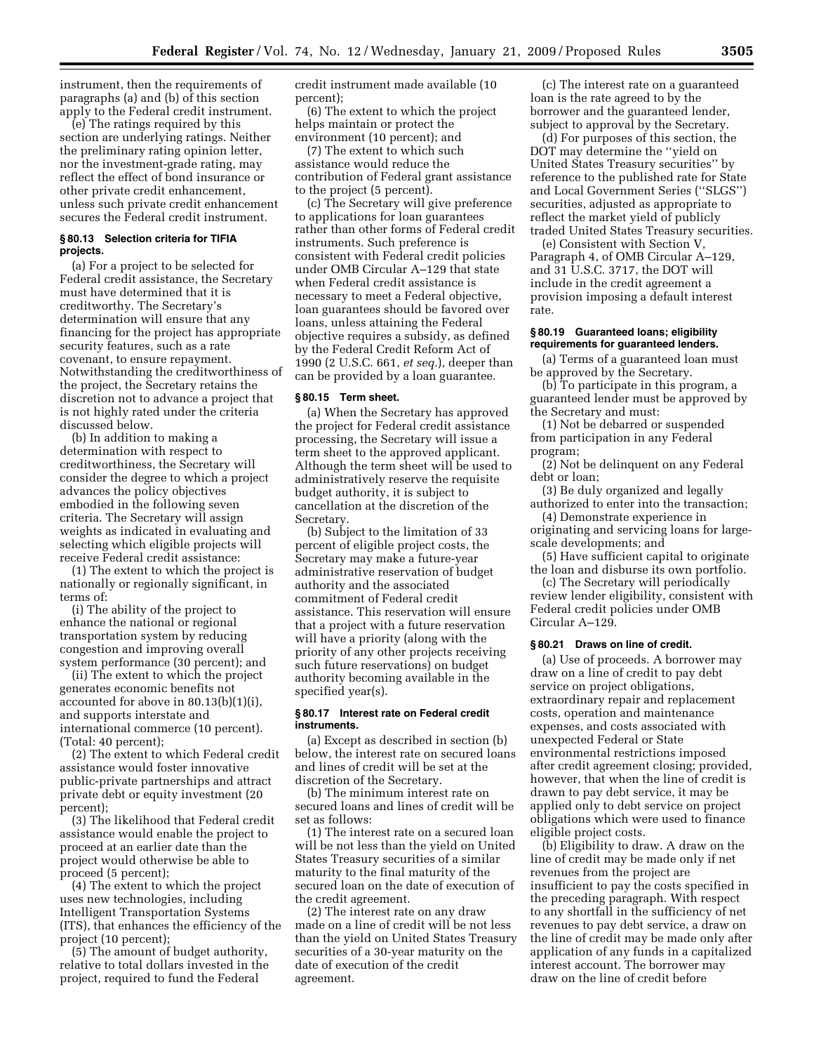instrument, then the requirements of paragraphs (a) and (b) of this section apply to the Federal credit instrument.

(e) The ratings required by this section are underlying ratings. Neither the preliminary rating opinion letter, nor the investment-grade rating, may reflect the effect of bond insurance or other private credit enhancement, unless such private credit enhancement secures the Federal credit instrument.

## **§ 80.13 Selection criteria for TIFIA projects.**

(a) For a project to be selected for Federal credit assistance, the Secretary must have determined that it is creditworthy. The Secretary's determination will ensure that any financing for the project has appropriate security features, such as a rate covenant, to ensure repayment. Notwithstanding the creditworthiness of the project, the Secretary retains the discretion not to advance a project that is not highly rated under the criteria discussed below.

(b) In addition to making a determination with respect to creditworthiness, the Secretary will consider the degree to which a project advances the policy objectives embodied in the following seven criteria. The Secretary will assign weights as indicated in evaluating and selecting which eligible projects will receive Federal credit assistance:

(1) The extent to which the project is nationally or regionally significant, in terms of:

(i) The ability of the project to enhance the national or regional transportation system by reducing congestion and improving overall system performance (30 percent); and

(ii) The extent to which the project generates economic benefits not accounted for above in 80.13(b)(1)(i), and supports interstate and international commerce (10 percent). (Total: 40 percent);

(2) The extent to which Federal credit assistance would foster innovative public-private partnerships and attract private debt or equity investment (20 percent);

(3) The likelihood that Federal credit assistance would enable the project to proceed at an earlier date than the project would otherwise be able to proceed (5 percent);

(4) The extent to which the project uses new technologies, including Intelligent Transportation Systems (ITS), that enhances the efficiency of the project (10 percent);

(5) The amount of budget authority, relative to total dollars invested in the project, required to fund the Federal

credit instrument made available (10 percent);

(6) The extent to which the project helps maintain or protect the environment (10 percent); and

(7) The extent to which such assistance would reduce the contribution of Federal grant assistance to the project (5 percent).

(c) The Secretary will give preference to applications for loan guarantees rather than other forms of Federal credit instruments. Such preference is consistent with Federal credit policies under OMB Circular A–129 that state when Federal credit assistance is necessary to meet a Federal objective, loan guarantees should be favored over loans, unless attaining the Federal objective requires a subsidy, as defined by the Federal Credit Reform Act of 1990 (2 U.S.C. 661, *et seq.*), deeper than can be provided by a loan guarantee.

#### **§ 80.15 Term sheet.**

(a) When the Secretary has approved the project for Federal credit assistance processing, the Secretary will issue a term sheet to the approved applicant. Although the term sheet will be used to administratively reserve the requisite budget authority, it is subject to cancellation at the discretion of the Secretary.

(b) Subject to the limitation of 33 percent of eligible project costs, the Secretary may make a future-year administrative reservation of budget authority and the associated commitment of Federal credit assistance. This reservation will ensure that a project with a future reservation will have a priority (along with the priority of any other projects receiving such future reservations) on budget authority becoming available in the specified year(s).

## **§ 80.17 Interest rate on Federal credit instruments.**

(a) Except as described in section (b) below, the interest rate on secured loans and lines of credit will be set at the discretion of the Secretary.

(b) The minimum interest rate on secured loans and lines of credit will be set as follows:

(1) The interest rate on a secured loan will be not less than the yield on United States Treasury securities of a similar maturity to the final maturity of the secured loan on the date of execution of the credit agreement.

(2) The interest rate on any draw made on a line of credit will be not less than the yield on United States Treasury securities of a 30-year maturity on the date of execution of the credit agreement.

(c) The interest rate on a guaranteed loan is the rate agreed to by the borrower and the guaranteed lender, subject to approval by the Secretary.

(d) For purposes of this section, the DOT may determine the ''yield on United States Treasury securities'' by reference to the published rate for State and Local Government Series (''SLGS'') securities, adjusted as appropriate to reflect the market yield of publicly traded United States Treasury securities.

(e) Consistent with Section V, Paragraph 4, of OMB Circular A–129, and 31 U.S.C. 3717, the DOT will include in the credit agreement a provision imposing a default interest rate.

#### **§ 80.19 Guaranteed loans; eligibility requirements for guaranteed lenders.**

(a) Terms of a guaranteed loan must be approved by the Secretary.

(b) To participate in this program, a guaranteed lender must be approved by the Secretary and must:

(1) Not be debarred or suspended from participation in any Federal program;

(2) Not be delinquent on any Federal debt or loan;

(3) Be duly organized and legally authorized to enter into the transaction;

(4) Demonstrate experience in originating and servicing loans for largescale developments; and

(5) Have sufficient capital to originate the loan and disburse its own portfolio.

(c) The Secretary will periodically review lender eligibility, consistent with Federal credit policies under OMB Circular A–129.

#### **§ 80.21 Draws on line of credit.**

(a) Use of proceeds. A borrower may draw on a line of credit to pay debt service on project obligations, extraordinary repair and replacement costs, operation and maintenance expenses, and costs associated with unexpected Federal or State environmental restrictions imposed after credit agreement closing; provided, however, that when the line of credit is drawn to pay debt service, it may be applied only to debt service on project obligations which were used to finance eligible project costs.

(b) Eligibility to draw. A draw on the line of credit may be made only if net revenues from the project are insufficient to pay the costs specified in the preceding paragraph. With respect to any shortfall in the sufficiency of net revenues to pay debt service, a draw on the line of credit may be made only after application of any funds in a capitalized interest account. The borrower may draw on the line of credit before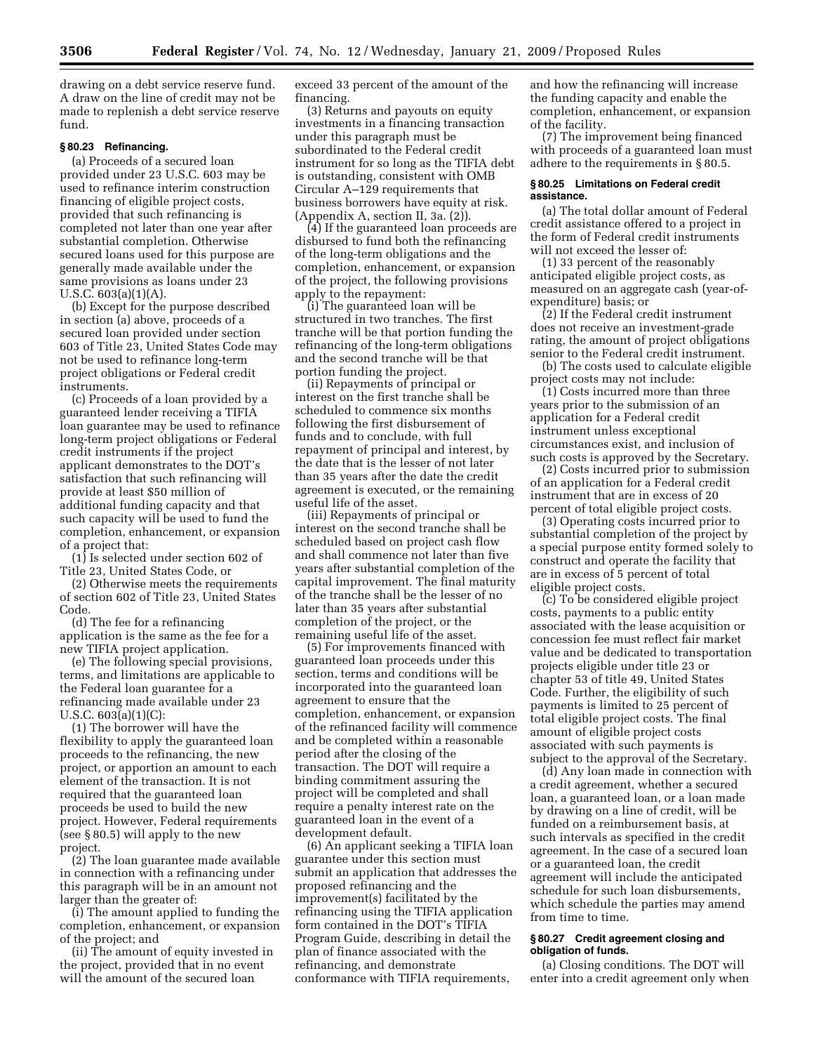drawing on a debt service reserve fund. A draw on the line of credit may not be made to replenish a debt service reserve fund.

## **§ 80.23 Refinancing.**

(a) Proceeds of a secured loan provided under 23 U.S.C. 603 may be used to refinance interim construction financing of eligible project costs, provided that such refinancing is completed not later than one year after substantial completion. Otherwise secured loans used for this purpose are generally made available under the same provisions as loans under 23 U.S.C. 603(a)(1)(A).

(b) Except for the purpose described in section (a) above, proceeds of a secured loan provided under section 603 of Title 23, United States Code may not be used to refinance long-term project obligations or Federal credit instruments.

(c) Proceeds of a loan provided by a guaranteed lender receiving a TIFIA loan guarantee may be used to refinance long-term project obligations or Federal credit instruments if the project applicant demonstrates to the DOT's satisfaction that such refinancing will provide at least \$50 million of additional funding capacity and that such capacity will be used to fund the completion, enhancement, or expansion of a project that:

(1) Is selected under section 602 of Title 23, United States Code, or

(2) Otherwise meets the requirements of section 602 of Title 23, United States Code.

(d) The fee for a refinancing application is the same as the fee for a new TIFIA project application.

(e) The following special provisions, terms, and limitations are applicable to the Federal loan guarantee for a refinancing made available under 23 U.S.C. 603(a)(1)(C):

(1) The borrower will have the flexibility to apply the guaranteed loan proceeds to the refinancing, the new project, or apportion an amount to each element of the transaction. It is not required that the guaranteed loan proceeds be used to build the new project. However, Federal requirements (see § 80.5) will apply to the new project.

(2) The loan guarantee made available in connection with a refinancing under this paragraph will be in an amount not larger than the greater of:

(i) The amount applied to funding the completion, enhancement, or expansion of the project; and

(ii) The amount of equity invested in the project, provided that in no event will the amount of the secured loan

exceed 33 percent of the amount of the financing.

(3) Returns and payouts on equity investments in a financing transaction under this paragraph must be subordinated to the Federal credit instrument for so long as the TIFIA debt is outstanding, consistent with OMB Circular A–129 requirements that business borrowers have equity at risk. (Appendix A, section II, 3a. (2)).

(4) If the guaranteed loan proceeds are disbursed to fund both the refinancing of the long-term obligations and the completion, enhancement, or expansion of the project, the following provisions apply to the repayment:

(i) The guaranteed loan will be structured in two tranches. The first tranche will be that portion funding the refinancing of the long-term obligations and the second tranche will be that portion funding the project.

(ii) Repayments of principal or interest on the first tranche shall be scheduled to commence six months following the first disbursement of funds and to conclude, with full repayment of principal and interest, by the date that is the lesser of not later than 35 years after the date the credit agreement is executed, or the remaining useful life of the asset.

(iii) Repayments of principal or interest on the second tranche shall be scheduled based on project cash flow and shall commence not later than five years after substantial completion of the capital improvement. The final maturity of the tranche shall be the lesser of no later than 35 years after substantial completion of the project, or the remaining useful life of the asset.

(5) For improvements financed with guaranteed loan proceeds under this section, terms and conditions will be incorporated into the guaranteed loan agreement to ensure that the completion, enhancement, or expansion of the refinanced facility will commence and be completed within a reasonable period after the closing of the transaction. The DOT will require a binding commitment assuring the project will be completed and shall require a penalty interest rate on the guaranteed loan in the event of a development default.

(6) An applicant seeking a TIFIA loan guarantee under this section must submit an application that addresses the proposed refinancing and the improvement(s) facilitated by the refinancing using the TIFIA application form contained in the DOT's TIFIA Program Guide, describing in detail the plan of finance associated with the refinancing, and demonstrate conformance with TIFIA requirements,

and how the refinancing will increase the funding capacity and enable the completion, enhancement, or expansion of the facility.

(7) The improvement being financed with proceeds of a guaranteed loan must adhere to the requirements in § 80.5.

#### **§ 80.25 Limitations on Federal credit assistance.**

(a) The total dollar amount of Federal credit assistance offered to a project in the form of Federal credit instruments will not exceed the lesser of:

(1) 33 percent of the reasonably anticipated eligible project costs, as measured on an aggregate cash (year-ofexpenditure) basis; or

(2) If the Federal credit instrument does not receive an investment-grade rating, the amount of project obligations senior to the Federal credit instrument.

(b) The costs used to calculate eligible project costs may not include:

(1) Costs incurred more than three years prior to the submission of an application for a Federal credit instrument unless exceptional circumstances exist, and inclusion of such costs is approved by the Secretary.

(2) Costs incurred prior to submission of an application for a Federal credit instrument that are in excess of 20 percent of total eligible project costs.

(3) Operating costs incurred prior to substantial completion of the project by a special purpose entity formed solely to construct and operate the facility that are in excess of 5 percent of total eligible project costs.

(c) To be considered eligible project costs, payments to a public entity associated with the lease acquisition or concession fee must reflect fair market value and be dedicated to transportation projects eligible under title 23 or chapter 53 of title 49, United States Code. Further, the eligibility of such payments is limited to 25 percent of total eligible project costs. The final amount of eligible project costs associated with such payments is subject to the approval of the Secretary.

(d) Any loan made in connection with a credit agreement, whether a secured loan, a guaranteed loan, or a loan made by drawing on a line of credit, will be funded on a reimbursement basis, at such intervals as specified in the credit agreement. In the case of a secured loan or a guaranteed loan, the credit agreement will include the anticipated schedule for such loan disbursements, which schedule the parties may amend from time to time.

#### **§ 80.27 Credit agreement closing and obligation of funds.**

(a) Closing conditions. The DOT will enter into a credit agreement only when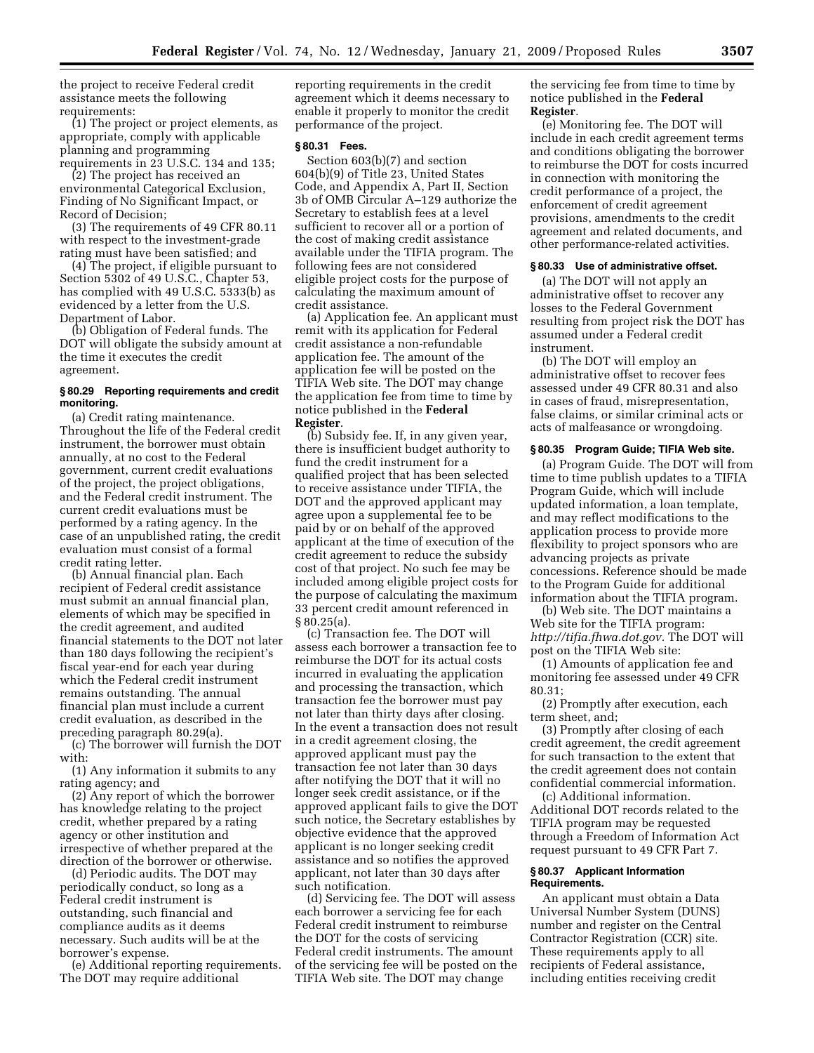the project to receive Federal credit assistance meets the following requirements:

(1) The project or project elements, as appropriate, comply with applicable planning and programming requirements in 23 U.S.C. 134 and 135;

(2) The project has received an environmental Categorical Exclusion, Finding of No Significant Impact, or Record of Decision;

(3) The requirements of 49 CFR 80.11 with respect to the investment-grade rating must have been satisfied; and

(4) The project, if eligible pursuant to Section 5302 of 49 U.S.C., Chapter 53, has complied with 49 U.S.C. 5333(b) as evidenced by a letter from the U.S. Department of Labor.

(b) Obligation of Federal funds. The DOT will obligate the subsidy amount at the time it executes the credit agreement.

#### **§ 80.29 Reporting requirements and credit monitoring.**

(a) Credit rating maintenance. Throughout the life of the Federal credit instrument, the borrower must obtain annually, at no cost to the Federal government, current credit evaluations of the project, the project obligations, and the Federal credit instrument. The current credit evaluations must be performed by a rating agency. In the case of an unpublished rating, the credit evaluation must consist of a formal credit rating letter.

(b) Annual financial plan. Each recipient of Federal credit assistance must submit an annual financial plan, elements of which may be specified in the credit agreement, and audited financial statements to the DOT not later than 180 days following the recipient's fiscal year-end for each year during which the Federal credit instrument remains outstanding. The annual financial plan must include a current credit evaluation, as described in the preceding paragraph 80.29(a).

(c) The borrower will furnish the DOT with:

(1) Any information it submits to any rating agency; and

(2) Any report of which the borrower has knowledge relating to the project credit, whether prepared by a rating agency or other institution and irrespective of whether prepared at the direction of the borrower or otherwise.

(d) Periodic audits. The DOT may periodically conduct, so long as a Federal credit instrument is outstanding, such financial and compliance audits as it deems necessary. Such audits will be at the borrower's expense.

(e) Additional reporting requirements. The DOT may require additional

reporting requirements in the credit agreement which it deems necessary to enable it properly to monitor the credit performance of the project.

#### **§ 80.31 Fees.**

Section 603(b)(7) and section 604(b)(9) of Title 23, United States Code, and Appendix A, Part II, Section 3b of OMB Circular A–129 authorize the Secretary to establish fees at a level sufficient to recover all or a portion of the cost of making credit assistance available under the TIFIA program. The following fees are not considered eligible project costs for the purpose of calculating the maximum amount of credit assistance.

(a) Application fee. An applicant must remit with its application for Federal credit assistance a non-refundable application fee. The amount of the application fee will be posted on the TIFIA Web site. The DOT may change the application fee from time to time by notice published in the **Federal Register**.

(b) Subsidy fee. If, in any given year, there is insufficient budget authority to fund the credit instrument for a qualified project that has been selected to receive assistance under TIFIA, the DOT and the approved applicant may agree upon a supplemental fee to be paid by or on behalf of the approved applicant at the time of execution of the credit agreement to reduce the subsidy cost of that project. No such fee may be included among eligible project costs for the purpose of calculating the maximum 33 percent credit amount referenced in § 80.25(a).

(c) Transaction fee. The DOT will assess each borrower a transaction fee to reimburse the DOT for its actual costs incurred in evaluating the application and processing the transaction, which transaction fee the borrower must pay not later than thirty days after closing. In the event a transaction does not result in a credit agreement closing, the approved applicant must pay the transaction fee not later than 30 days after notifying the DOT that it will no longer seek credit assistance, or if the approved applicant fails to give the DOT such notice, the Secretary establishes by objective evidence that the approved applicant is no longer seeking credit assistance and so notifies the approved applicant, not later than 30 days after such notification.

(d) Servicing fee. The DOT will assess each borrower a servicing fee for each Federal credit instrument to reimburse the DOT for the costs of servicing Federal credit instruments. The amount of the servicing fee will be posted on the TIFIA Web site. The DOT may change

the servicing fee from time to time by notice published in the **Federal Register**.

(e) Monitoring fee. The DOT will include in each credit agreement terms and conditions obligating the borrower to reimburse the DOT for costs incurred in connection with monitoring the credit performance of a project, the enforcement of credit agreement provisions, amendments to the credit agreement and related documents, and other performance-related activities.

#### **§ 80.33 Use of administrative offset.**

(a) The DOT will not apply an administrative offset to recover any losses to the Federal Government resulting from project risk the DOT has assumed under a Federal credit instrument.

(b) The DOT will employ an administrative offset to recover fees assessed under 49 CFR 80.31 and also in cases of fraud, misrepresentation, false claims, or similar criminal acts or acts of malfeasance or wrongdoing.

#### **§ 80.35 Program Guide; TIFIA Web site.**

(a) Program Guide. The DOT will from time to time publish updates to a TIFIA Program Guide, which will include updated information, a loan template, and may reflect modifications to the application process to provide more flexibility to project sponsors who are advancing projects as private concessions. Reference should be made to the Program Guide for additional information about the TIFIA program.

(b) Web site. The DOT maintains a Web site for the TIFIA program: *http://tifia.fhwa.dot.gov.* The DOT will post on the TIFIA Web site:

(1) Amounts of application fee and monitoring fee assessed under 49 CFR 80.31;

(2) Promptly after execution, each term sheet, and;

(3) Promptly after closing of each credit agreement, the credit agreement for such transaction to the extent that the credit agreement does not contain confidential commercial information.

(c) Additional information. Additional DOT records related to the TIFIA program may be requested through a Freedom of Information Act request pursuant to 49 CFR Part 7.

#### **§ 80.37 Applicant Information Requirements.**

An applicant must obtain a Data Universal Number System (DUNS) number and register on the Central Contractor Registration (CCR) site. These requirements apply to all recipients of Federal assistance, including entities receiving credit